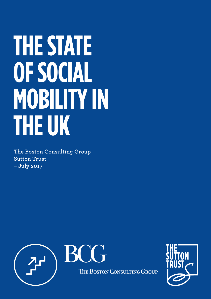# **THE STATE OF SOCIAL MOBILITY IN THE UK**

**The Boston Consulting Group Sutton Trust – July 2017**



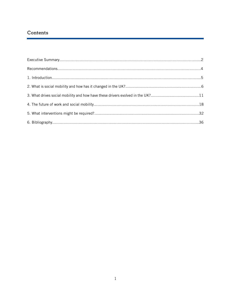# **Contents**

l

| 3. What drives social mobility and how have these drivers evolved in the UK?11 |  |
|--------------------------------------------------------------------------------|--|
|                                                                                |  |
|                                                                                |  |
|                                                                                |  |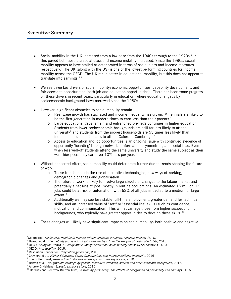# **Executive Summary**

ł

- Social mobility in the UK increased from a low base from the [1](#page-2-0)940s through to the 1970s.<sup>1</sup> In this period both absolute social class and income mobility increased. Since the 1980s, social mobility appears to have stalled or deteriorated in terms of social class and income measures respectively.<sup>[2](#page-2-1)</sup> The UK (along with the US) is one of the lowest performing countries for income mobility across the OECD. The UK ranks better in educational mobility, but this does not appear to translate into earnings. $3,4$  $3,4$
- We see three key drivers of social mobility: economic opportunities, capability development, and fair access to opportunities (both job and education opportunities). There has been some progress on these drivers in recent years, particularly in education, where educational gaps by socioeconomic background have narrowed since the 1980s.
- However, significant obstacles to social mobility remain:
	- o Real wage growth has stagnated and income inequality has grown. Millennials are likely to be the first generation in modern times to earn less than their parents.<sup>[5](#page-2-4)</sup>
	- o Large educational gaps remain and entrenched privilege continues in higher education. Students from lower socioeconomic backgrounds are still far less likely to attend university $<sup>6</sup>$  $<sup>6</sup>$  $<sup>6</sup>$  and students from the poorest households are 55 times less likely than</sup> independent school students to attend Oxford or Cambridge.<sup>[7](#page-2-6)</sup>
	- o Access to education and job opportunities is an ongoing issue with continued evidence of opportunity 'hoarding' through networks, information asymmetries, and social bias. Even when less well-off students attend the same university and study the same subject as their wealthier peers they earn over 10% less per year.<sup>[8](#page-2-7)</sup>
- Without concerted effort, social mobility could deteriorate further due to trends shaping the future of work
	- o These trends include the rise of disruptive technologies, new ways of working, demographic changes and globalisation
	- o The future of work is likely to involve large structural changes to the labour market and potentially a net loss of jobs, mostly in routine occupations. An estimated 15 million UK jobs could be at risk of automation, with 63% of all jobs impacted to a medium or large extent.<sup>[9](#page-2-8)</sup>
	- o Additionally we may see less stable full-time employment, greater demand for technical skills, and an increased value of "soft" or "essential life" skills (such as confidence, motivation and communication). This will advantage those from higher socioeconomic backgrounds, who typically have greater opportunities to develop these skills.  $^{10}$  $^{10}$  $^{10}$
- These changes will likely have significant impacts on social mobility- both positive and negative:

 $\ddot{\phantom{a}}$ 

<span id="page-2-1"></span><span id="page-2-0"></span><sup>1</sup> Goldthorpe, Social class mobility in modern Britain: changing structure, constant process, 2016.

<sup>2</sup> Bukodi et al., The mobility problem in Britain: new findings from the analysis of birth cohort data, 2015.

<sup>&</sup>lt;sup>3</sup> OECD, *Going for Growth; A Family Affair- Intergenerational Social Mobility across OECD countries, 2010* 

<span id="page-2-3"></span><span id="page-2-2"></span> $4$  OECD, In it together, 2015.

<span id="page-2-4"></span><sup>&</sup>lt;sup>5</sup> Resolution Foundation, Stagnation generation, 2016.

<span id="page-2-5"></span><sup>&</sup>lt;sup>6</sup> Crawford et al., *Higher Education, Career Opportunities and Intergenerational Inequality*, 2016

<span id="page-2-6"></span><sup>&</sup>lt;sup>7</sup> The Sutton Trust, *Responding to the new landscape for university access*, 2010.

<span id="page-2-7"></span><sup>&</sup>lt;sup>8</sup> Britten et al., *UK graduate earnings by gender, institution attended, subject and socio-economic background, 2016.* 

<span id="page-2-8"></span><sup>&</sup>lt;sup>9</sup> Andrew G Haldane, Speech: Labour's share, 2015.

<span id="page-2-9"></span><sup>&</sup>lt;sup>10</sup> De Vries and Rentfrow (Sutton Trust), A winning personality: The effects of background on personality and earnings, 2016.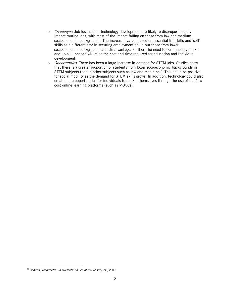- o Challenges: Job losses from technology development are likely to disproportionately impact routine jobs, with most of the impact falling on those from low and medium socioeconomic backgrounds. The increased value placed on essential life skills and 'soft' skills as a differentiator in securing employment could put those from lower socioeconomic backgrounds at a disadvantage. Further, the need to continuously re-skill and up-skill oneself will raise the cost and time required for education and individual development.
- o Opportunities: There has been a large increase in demand for STEM jobs. Studies show that there is a greater proportion of students from lower socioeconomic backgrounds in STEM subjects than in other subjects such as law and medicine.<sup>[11](#page-3-0)</sup> This could be positive for social mobility as the demand for STEM skills grows. In addition, technology could also create more opportunities for individuals to re-skill themselves through the use of free/low cost online learning platforms (such as MOOCs).

<span id="page-3-0"></span> $\overline{a}$  $11$  Codiroli, Inequalities in students' choice of STEM subjects, 2015.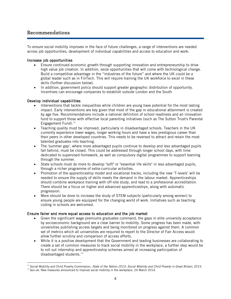# **Recommendations**

ł

To ensure social mobility improves in the face of future challenges, a range of interventions are needed across job opportunities, development of individual capabilities and access to education and work:

## Increase job opportunities

- Ensure continued economic growth through supporting innovation and entrepreneurship to drive high value job creation. In addition, seize opportunities that will come with technological change. Build a competitive advantage in the "industries of the future" and where the UK could be a global leader such as in FinTech. This will require training the UK workforce to excel in these skills (further discussion below).
- In addition, government policy should support greater geographic distribution of opportunity. Incentives can encourage companies to establish outside London and the South

## Develop individual capabilities

- Interventions that tackle inequalities while children are young have potential for the most lasting impact. Early interventions are key given that most of the gap in educational attainment is created by age five. Recommendations include a national definition of school readiness and an innovation fund to support those with effective local parenting initiatives (such as The Sutton Trust's Parental Engagement Fund). $12$
- Teaching quality must be improved, particularly in disadvantaged schools. Teachers in the UK currently experience lower wages, longer working hours and have a less prestigious career than their peers in other developed countries. This needs to be reversed to attract and retain the most talented graduates into teaching.
- The 'summer gap', where more advantaged pupils continue to develop and less advantaged pupils fall behind, must be closed. This could be addressed through longer school days, with time dedicated to supervised homework, as well as compulsory digital programmes to support learning through the summer.
- State schools must do more to develop "soft" or "essential life skills" in less advantaged pupils, through a richer programme of extra-curricular activities.
- Promotion of the apprenticeship model and vocational tracks, including the new 'T-levels' will be needed to ensure the supply of skills meets the demand in the labour market. Apprenticeships should combine workplace training with off-site study, and lead to a professional accreditation. There should be a focus on higher and advanced apprenticeships, along with automatic progression.
- More should be done to increase the study of STEM subjects (particularly among women) to ensure young people are equipped for the changing world of work. Initiatives such as teaching coding in schools are welcomed.

## Ensure fairer and more equal access to education and the job market

- Given the significant wage premiums graduates command, the gaps in elite university acceptance by socioeconomic background are a clear barrier to mobility. Some progress has been made, with universities publishing access targets and being monitored on progress against them. A common set of metrics which all universities are required to report to the Director of Fair Access would allow further scrutiny and comparison of access efforts.
- While it is a positive development that the Government and leading businesses are collaborating to create a set of common measures to track social mobility in the workplace, a further step would be to roll out internship and apprenticeship schemes aimed at increasing participation of disadvantaged students. $^{13}$  $^{13}$  $^{13}$

 $\overline{a}$ <sup>12</sup> Social Mobility and Child Poverty Commission, State of the Nation 2015: Social Mobility and Child Poverty in Great Britain, 2015.

<span id="page-4-1"></span><span id="page-4-0"></span><sup>&</sup>lt;sup>13</sup> Gov.uk: New measures announced to improve social mobility in the workplace, 24 March 2016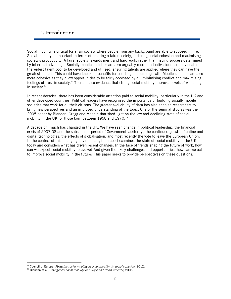## **1. Introduction**

Social mobility is critical for a fair society where people from any background are able to succeed in life. Social mobility is important in terms of creating a fairer society, fostering social cohesion and maximising society's productivity. A fairer society rewards merit and hard work, rather than having success determined by inherited advantage. Socially mobile societies are also arguably more productive because they enable the widest talent pool to be developed and utilised, ensuring talents are applied where they can have the greatest impact. This could have knock on benefits for boosting economic growth. Mobile societies are also more cohesive as they allow opportunities to be fairly accessed by all; minimising conflict and maximising feelings of trust in society.<sup>14</sup> There is also evidence that strong social mobility improves levels of wellbeing in society.<sup>[14](#page-5-0)</sup>

In recent decades, there has been considerable attention paid to social mobility, particularly in the UK and other developed countries. Political leaders have recognised the importance of building socially mobile societies that work for all their citizens. The greater availability of data has also enabled researchers to bring new perspectives and an improved understanding of the topic. One of the seminal studies was the 2005 paper by Blanden, Gregg and Machin that shed light on the low and declining state of social mobility in the UK for those born between 1958 and 1970. [15](#page-5-1)

A decade on, much has changed in the UK. We have seen change in political leadership, the financial crisis of 2007-08 and the subsequent period of Government 'austerity', the continued growth of online and digital technologies, the effects of globalisation, and most recently the vote to leave the European Union. In the context of this changing environment, this report examines the state of social mobility in the UK today and considers what has driven recent changes. In the face of trends shaping the future of work, how can we expect social mobility to evolve? And given the likely challenges and opportunities, how can we act to improve social mobility in the future? This paper seeks to provide perspectives on these questions.

<span id="page-5-0"></span> $14$  Council of Europe, Fostering social mobility as a contribution to social cohesion, 2012.

<span id="page-5-1"></span><sup>&</sup>lt;sup>15</sup> Blanden et al., *Intergenerational mobility in Europe and North America,* 2005.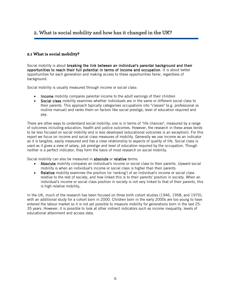# **2. What is social mobility and how has it changed in the UK?**

## **2.1 What is social mobility?**

Social mobility is about breaking the link between an individual's parental background and their opportunities to reach their full potential in terms of income and occupation. It is about better opportunities for each generation and making access to these opportunities fairer, regardless of background.

Social mobility is usually measured through income or social class:

- Income mobility compares parental income to the adult earnings of their children
- Social class mobility examines whether individuals are in the same or different social class to their parents. This approach typically categorises occupations into "classes" (e.g. professional vs routine manual) and ranks them on factors like social prestige, level of education required and pay.

There are other ways to understand social mobility; one is in terms of "life chances", measured by a range of outcomes including education, health and justice outcomes. However, the research in these areas tends to be less focused on social mobility and is less developed (educational outcomes is an exception). For this report we focus on income and social class measures of mobility. Generally we use income as an indicator as it is tangible, easily measured and has a clear relationship to aspects of quality of life. Social class is used as it gives a view of salary, job prestige and level of education required by the occupation. Though neither is a perfect indicator, they form the basis of most research on social mobility.

Social mobility can also be measured in absolute or relative terms:

- Absolute mobility compares an individual's income or social class to their parents. Upward social mobility is when an individual's income or social class is higher than their parents
- Relative mobility examines the position (or 'ranking') of an individual's income or social class relative to the rest of society, and how linked this is to their parents' position in society. When an individual's income or social class position in society is not very linked to that of their parents, this is high relative mobility.

In the UK, much of the research has been focused on three birth cohort studies (1946, 1958, and 1970), with an additional study for a cohort born in 2000. Children born in the early 2000s are too young to have entered the labour market so it is not yet possible to measure mobility for generations born in the last 25- 35 years. However, it is possible to look at other indirect indicators such as income inequality, levels of educational attainment and access data.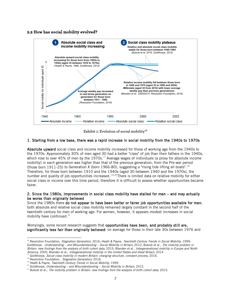## **2.2 How has social mobility evolved?**



**Exhibit 1: Evolution of social mobility[16](#page-7-0)**

#### 1. Starting from a low base, there was a rapid increase in social mobility from the 1940s to 1970s

Absolute upward social class and income mobility increased for those of working age from the 1940s to the 1970s. Approximately 30% of men aged 30 had a better "class" of job than their fathers in the 1940s, which rose to over 45% of men by the 1970s.<sup>[17](#page-7-1)</sup> Average wages of individuals (a proxy for absolute income mobility) in each generation was higher than that of the previous generation, from the Pre-war period (those born 1911-25) to Generation X (born 1966-80), suggesting a "rising tide lifting all boats".<sup>[18](#page-7-2)</sup> Therefore, for those born between 1910 and the 1940s (aged 30 between 1940 and the 1970s), the number and quality of job opportunities increased. [19](#page-7-3),[20](#page-7-4) There is limited data on relative mobility for either social class or income over this time period, therefore it is difficult to assess whether opportunities became fairer.

#### 2. Since the 1980s, improvements in social class mobility have stalled for men – and may actually be worse than originally believed

Since the 1980s there do not appear to have been better or fairer job opportunities available for men; both absolute and relative social class mobility remained largely constant in the second half of the twentieth century for men of working age. For women, however, it appears modest increases in social mobility have continued. [21](#page-7-5)

Worryingly, some recent research suggests that opportunities have been, and probably still are, significantly less fair than originally believed: on average for those in their late 30s between 1976 and

<span id="page-7-0"></span><sup>&</sup>lt;sup>16</sup> Resolution Foundation, Stagnation Generation, 2016; Heath & Payne, Twentieth Century Trends in Social Mobility, 1999; Goldthorpe, Understanding - and Misunderstanding - Social Mobility in Britain, 2012; Bukodi et al., The mobility problem in Britain: new findings from the analysis of birth cohort data, 2015; Blanden et al., Intergenerational mobility in Europe and North America, 2005; Blanden et al., Intergenerational mobility in the United States and Great Britain, 2014

<span id="page-7-1"></span><sup>&</sup>lt;sup>17</sup> Goldthorpe, Social class mobility in modern Britain: changing structure, constant process, 2016.

<span id="page-7-2"></span><sup>&</sup>lt;sup>18</sup> Resolution Foundation, Stagnation Generation, 2016.

<span id="page-7-3"></span> $19$  Heath & Payne, Twentieth Century Trends in Social Mobility, 1999.

 $20$  Goldthorpe, Understanding – and Misunderstanding – Social Mobility in Britain, 2012.

<span id="page-7-5"></span><span id="page-7-4"></span> $21$  Bukodi et al., The mobility problem in Britain: new findings from the analysis of birth cohort data, 2015.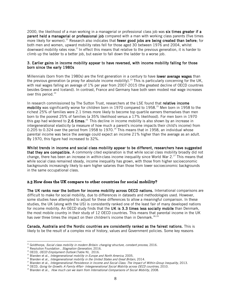2000, the likelihood of a man working in a managerial or professional class job was six times greater if a parent held a managerial or professional job compared with a man with working class parents (five times more likely for women).<sup>[22](#page-8-0)</sup> Research also indicates that fewer good jobs are being created than before; for both men and women, upward mobility rates fell for those aged 30 between 1976 and 2004, whilst downward mobility rates rose.<sup>21</sup> In effect this means that relative to the previous generation, it is harder to climb up the ladder to a better job, but easier to fall down the ladder to a worse job.

#### 3. Earlier gains in income mobility appear to have reversed, with income mobility falling for those born since the early 1980s

Millennials (born from the 1980s) are the first generation in a century to have lower average wages than the previous generation (a proxy for absolute income mobility).<sup>[23](#page-8-1)</sup> This is particularly concerning for the UK, with real wages falling an average of 1% per year from 2007-2015 (the greatest decline of OECD countries besides Greece and Iceland). In contrast, France and Germany have both seen modest real wage increases over this period.<sup>[24](#page-8-2)</sup>

In research commissioned by The Sutton Trust, researchers at the LSE found that relative income mobility was significantly worse for children born in 1970 compared to 1958. [25](#page-8-3) Men born in 1958 to the richest 25% of families were 2.1 times more likely to become top quartile earners themselves than men born to the poorest 25% of families (a 35% likelihood versus a 17% likelihood). For men born in 1970 this gap had widened to 2.6 times.<sup>25</sup> This decline in income mobility is also shown by an increase in intergenerational elasticity (a measure of how much a parent's income impacts their child's income) from 0.205 to 0.324 over the period from 1958 to 1970.<sup>[26](#page-8-4)</sup> This means that in 1958, an individual whose parental income was twice the average could expect an income 21% higher than the average as an adult. By 1970, this figure had increased to 32%.

Whilst trends in income and social class mobility appear to be different, researchers have suggested that they are compatible. A commonly cited explanation is that while social class mobility broadly did not change, there has been an increase in *within*-class income inequality since World War 2.<sup>[27](#page-8-5)</sup> This means that while social class remained steady, income inequality has grown, with those from higher socioeconomic backgrounds increasingly likely to earn higher salaries than those from lower socioeconomic backgrounds in the same occupational class.

## **2.3 How does the UK compare to other countries for social mobility?**

The UK ranks near the bottom for income mobility across OECD nations. International comparisons are difficult to make for social mobility, due to differences in datasets and methodologies used. However, some studies have attempted to adjust for these differences to allow a meaningful comparison. In these studies, the UK (along with the US) is consistently ranked one of the least fair of many developed nations for income mobility. An OECD study finds that the UK is 3.3 times less socially mobile than Denmark, the most mobile country in their study of 12 OECD countries. This means that parental income in the UK has over three times the impact on their children's income than in Denmark.<sup>[28](#page-8-6),[29](#page-8-7)</sup>

Canada, Australia and the Nordic countries are consistently ranked as the fairest nations. This is likely to be the result of a complex mix of history, values and Government policies. Some key reasons

<sup>&</sup>lt;sup>22</sup> Goldthorpe, *Social class mobility in modern Britain: changing structure, constant process,* 2016.

<span id="page-8-1"></span><span id="page-8-0"></span><sup>&</sup>lt;sup>23</sup> Resolution Foundation, Stagnation Generation, 2016.

<span id="page-8-2"></span><sup>&</sup>lt;sup>24</sup> OECD, OECD Employment Outlook (Table N), 2016.

<span id="page-8-3"></span><sup>&</sup>lt;sup>25</sup> Blanden et al., *Intergenerational mobility in Europe and North America*, 2005.

<span id="page-8-4"></span><sup>&</sup>lt;sup>26</sup> Blanden et al., Intergenerational mobility in the United States and Great Britain, 2014.

<sup>&</sup>lt;sup>27</sup> Blanden et al., *Intergenerational Persistence in Income and Social Class: The Impact of Within-Group Inequality*, 2013.

<span id="page-8-7"></span><span id="page-8-6"></span><span id="page-8-5"></span><sup>&</sup>lt;sup>28</sup> OECD, Going for Growth; A Family Affair- Intergenerational Social Mobility across OECD countries, 2010.

<sup>&</sup>lt;sup>29</sup> Blanden et al., How much can we learn from International Comparisons of Social Mobility, 2008.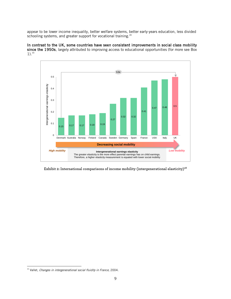appear to be lower income inequality, better welfare systems, better early-years education, less divided schooling systems, and greater support for vocational training.<sup>28</sup>

In contrast to the UK, some countries have seen consistent improvements in social class mobility since the 1950s, largely attributed to improving access to educational opportunities (for more see Box 1). [30](#page-9-0)



Exhibit 2: International comparisons of income mobility (intergenerational elasticity)<sup>28</sup>

<span id="page-9-0"></span> $\overline{a}$ <sup>30</sup> Vallet, *Changes in intergenerational social fluidity in France,* 2004.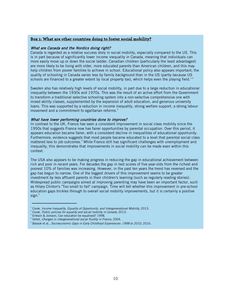## **Box 1: What are other countries doing to foster social mobility?**

#### What are Canada and the Nordics doing right?

Canada is regarded as a relative success story in social mobility, especially compared to the US. This is in part because of significantly lower income inequality in Canada, meaning that individuals can more easily move up or down the social ladder. Canadian children (particularly the least advantaged) are more likely to be living with older, more educated parents than American children, and this may help children from poorer families to achieve in school. Educational policy also appears important; the quality of schooling in Canada varies less by family background than in the US (partly because US schools are financed to a greater extent by local property tax), which helps even the playing field.<sup>1,2</sup>

Sweden also has relatively high levels of social mobility, in part due to a large reduction in educational inequality between the 1930s and 1970s. This was the result of an active effort from the Government to transform a traditional selective schooling system into a non-selective comprehensive one with mixed ability classes, supplemented by the expansion of adult education, and generous university loans. This was supported by a reduction in income inequality, strong welfare support, a strong labour movement and a commitment to egalitarian reforms.<sup>3</sup>

#### What have lower performing countries done to improve?

In contrast to the UK, France has seen a consistent improvement in social class mobility since the 1950s that suggests France now has fairer opportunities by parental occupation. Over this period, it appears education became fairer, with a consistent decline in inequalities of educational opportunity. Furthermore, evidence suggests that most people became educated to a level that parental social class mattered less to job outcomes. <sup>4</sup> While France still has significant challenges with unemployment and inequality, this demonstrates that improvements in social mobility can be made even within this context.

The USA also appears to be making progress in reducing the gap in educational achievement between rich and poor in recent years. For decades the gap in test scores of five year-olds from the richest and poorest 10% of families was increasing. However, in the past ten years the trend has reversed and the gap has begun to narrow. One of the biggest drivers of this improvement seems to be greater investment by less affluent parents in their children's learning (such as regularly reading stories). Widespread public campaigns aimed at improving parenting may have been an important factor, such as Hilary Clinton's "Too small to fail" campaign. Time will tell whether this improvement in pre-school education gaps trickles through to overall social mobility improvements, but it is certainly a positive sign.<sup>5</sup>

 $1$  Corak, Income Inequality, Equality of Opportunity, and Intergenerational Mobility, 2013.

<sup>&</sup>lt;sup>2</sup> Corak, Public policies for equality and social mobility in Canada, 2013.

<sup>&</sup>lt;sup>3</sup> Erikson & Jonsson, Can education be equalised? 1998.

<sup>&</sup>lt;sup>4</sup> Vallet, Changes in intergenerational social fluidity in France, 2004.

<sup>&</sup>lt;sup>5</sup> Bassok et al., Socioeconomic Gaps in Early Childhood Experiences: 1998 to 2010, 2016.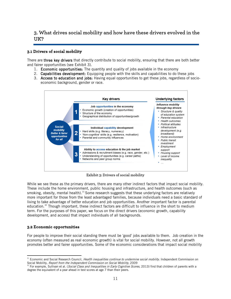# **3. What drives social mobility and how have these drivers evolved in the UK?**

## **3.1 Drivers of social mobility**

There are three key drivers that directly contribute to social mobility, ensuring that there are both better and fairer opportunities (see Exhibit 3).

- 1. Economic opportunities: The quantity and quality of jobs available in the economy
- 2. Capabilities development: Equipping people with the skills and capabilities to do these jobs
- 3. Access to education and jobs: Having equal opportunities to get these jobs, regardless of socioeconomic background, gender or race.



**Exhibit 3: Drivers of social mobility**

While we see these as the primary drivers, there are many other indirect factors that impact social mobility. These include the home environment, public housing and infrastructure, and health outcomes (such as smoking, obesity, mental health). <sup>[31](#page-11-0)</sup> Some research suggests that these underlying factors are relatively more important for those from the least advantaged families, because individuals need a basic standard of living to take advantage of better education and job opportunities. Another important factor is parental education.<sup>[32](#page-11-1)</sup> Though important, these indirect factors are difficult to influence in the short to medium term. For the purposes of this paper, we focus on the direct drivers (economic growth, capability development, and access) that impact individuals of all backgrounds.

## **3.2 Economic opportunities**

 $\overline{a}$ 

For people to improve their social standing there must be 'good' jobs available to them. Job creation in the economy (often measured as real economic growth) is vital for social mobility. However, not all growth promotes better and fairer opportunities. Some of the economic considerations that impact social mobility

<span id="page-11-0"></span><sup>&</sup>lt;sup>31</sup> Economic and Social Research Council, *Health inequalities continue to undermine social mobility*. Independent Commission on Social Mobility, Report from the Independent Commission on Social Mobility, 2009

<span id="page-11-1"></span> $32$  For example, Sullivan et al. (Social Class and Inequalities in Early Cognitive Scores, 2013) find that children of parents with a degree the equivalent of a year ahead in test scores at age 7 than their peers.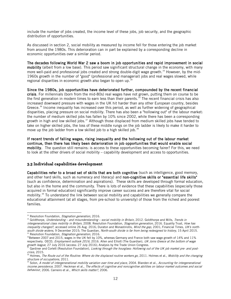include the number of jobs created, the income level of these jobs, job security, and the geographic distribution of opportunities.

As discussed in section 2, social mobility as measured by income fell for those entering the job market from around the 1980s. This deterioration can in part be explained by a corresponding decline in economic opportunities over a similar period.

The decades following World War 2 saw a boom in job opportunities and rapid improvement in social mobility (albeit from a low base). This period saw significant structural change in the economy, with many more well-paid and professional jobs created and strong double-digit wage growth.<sup>[33](#page-12-0)</sup> However, by the mid-1960s growth in the number of "good" (professional and managerial) jobs and real wages slowed, while regional disparities in economic growth also began to open up.<sup>34</sup>

Since the 1980s, job opportunities have deteriorated further, compounded by the recent financial crisis. For millennials (born from the mid-80s) real wages have not grown, putting them on course to be the first generation in modern times to earn less than their parents.<sup>[35](#page-12-2)</sup> The recent financial crisis has also increased downward pressure with wages in the UK hit harder than any other European country, besides Greece.<sup>[36](#page-12-3)</sup> Income inequality has increased over this period, as well as further widening of geographical disparities, placing pressure on social mobility. There has also been a "hollowing out" of the labour market: the number of medium skilled jobs has fallen by 10% since 2002, while there has been a corresponding growth in high and low skilled jobs. $37$  Although those displaced from medium skilled jobs have tended to take on higher skilled jobs, the loss of these middle rungs on the job ladder is likely to make it harder to move up the job ladder from a low skilled job to a high skilled job.<sup>[38](#page-12-5)</sup>

If recent trends of falling wages, rising inequality and the hollowing out of the labour market continue, then there has likely been deterioration in job opportunities that would enable social mobility. The question still remains: is access to these opportunities becoming fairer? For this, we need to look at the other drivers of social mobility – capability development and access to opportunities.

## **3.3 Individual capabilities development**

Capabilities refer to a broad set of skills that are both cognitive (such as intelligence, good memory, and other hard skills, such as numeracy and literacy) and non-cognitive skills or "essential life skills" (such as confidence, determination and aspirations). These skills are developed through formal education, but also in the home and the community. There is lots of evidence that these capabilities (especially those acquired in formal education) significantly improve career success and are therefore vital for social mobility. [39](#page-12-6) To understand the link between social mobility and capabilities we generally compare the educational attainment (at all stages, from pre-school to university) of those from the richest and poorest families.

<sup>&</sup>lt;sup>33</sup> Resolution Foundation, Stagnation generation, 2016.

<span id="page-12-1"></span><span id="page-12-0"></span><sup>34</sup> Goldthorpe, Understanding - and misunderstanding - social mobility in Britain, 2012. Goldthorpe and Mills, Trends in intergenerational class mobility in Britain, 2008. Resolution Foundation, Stagnation generation, 2016. Equality Trust, How has inequality changed?, accessed online 26 Aug. 2016; Duraton and Monastiriotis, Mind the gap, 2001; Financial Times, UK's northsouth divide widens, 9 December 2015; The Guardian, North-south divide is far from being redesigned to history, 15 April 2015. <sup>35</sup> Resolution Foundation, Stagnation generation, 2016.

<span id="page-12-3"></span><span id="page-12-2"></span> $36$ Between 2007 and 2015, wages in the UK fell by 10%, whereas Germany and France both saw wage growth of 14% and 11% respectively. OECD, Employment outlook 2016, 2016. Allen and Elliott (The Guardian), UK Joins Greece at the bottom of wage growth league, 27 July 2016 (access: 27 July 2016); Analysis by the Trade Union Congress.

<span id="page-12-4"></span>Gardiner and Corlett (Resolution Foundation), Looking through the hourglass: Hollowing out of the UK job market pre- and postcrisis, 2015.

<span id="page-12-5"></span><sup>&</sup>lt;sup>38</sup> Holmes, The Route out of the Routine: Where do the displaced routine workers go, 2011. Holmes et al., Mobility and the changing structure of occupations, 2011.

<span id="page-12-6"></span><sup>&</sup>lt;sup>39</sup> Solon, *A model of intergenerational mobility variation over time and place*, 2004. Blanden et al., *Accounting for intergenerational* income persistence, 2007. Heckman et al., The effects of cognitive and noncognitive abilities on labour market outcomes and social behaviour, 2006. Carneiro et al., Which skills matter?, 2006.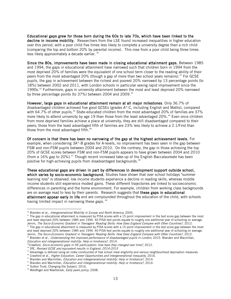Educational gaps grew for those born during the 60s to late 70s, which have been linked to the decline in income mobility. Researchers from the LSE found increased inequalities in higher education over this period, with a poor child five times less likely to complete a university degree than a rich child (comparing the top and bottom 20% by parental income). This rose from a poor child being three times less likely approximately a decade earlier. [40](#page-13-0)

Since the 80s, improvements have been made in closing educational attainment gaps. Between 1985 and 1994, the gaps in educational attainment have narrowed such that children born in 1994 from the most deprived 20% of families were the equivalent of one school term closer to the reading ability of their peers from the most advantaged 20% (though a gap of more than two school years remains).<sup>[41](#page-13-1)</sup> For GCSE pupils, the gap in achievement between the richest and poorest 20% narrowed by 13 percentage points (to 18%) between 2002 and 2011, with London schools in particular seeing rapid improvement since the 1990s.[42](#page-13-2) Furthermore, gaps in university attainment between the most and least deprived 20% narrowed by three percentage points (to  $37\%$ ) between 2004 and 2009.<sup>[43](#page-13-3)</sup>

However, large gaps in educational attainment remain at all major milestones. Only 36.7% of disadvantaged children achieved five good GCSEs (grades A\*-C, including English and Maths), compared with 64.7% of other pupils.<sup>[44](#page-13-4)</sup> State-educated children from the most advantaged 20% of families are 37% more likely to attend university by age 19 than those from the least advantaged 20%. [45](#page-13-5) Even once children from more deprived families achieve a place at university, they are still disadvantaged compared to their peers; those from the least advantaged fifth of families are 23% less likely to achieve a 2.1/First than those from the most advantaged fifth.<sup>[46](#page-13-6)</sup>

Of concern is that there has been no narrowing of the gap at the highest achievement levels. For example, when considering 3A\*-B grades for A-levels, no improvement has been seen in the gap between FSM and non-FSM pupils between 2004 and 2010. On the contrary, the gap in those achieving the top 20% of GCSE scores between FSM and non-FSM pupils appears to have grown between 2004 and 2010 (from a 16% gap to 20%).<sup>[47](#page-13-7)</sup> Though recent increased take-up of the English Baccalaureate has been positive for high-achieving pupils from disadvantaged backgrounds.<sup>[48](#page-13-8)</sup>

These educational gaps are driven in part by differences in development support outside school, which varies by socio-economic background. Studies have shown that over school holidays "summer learning loss" is observed: low income students experience a decline in reading skills, whereas middle income students still experience modest gains. These different trajectories are linked to socioeconomic differences in parenting and the home environment. For example, children from working class backgrounds are on average read to less by their parents. Research suggests that these gaps in educational attainment appear early in life and are compounded throughout the education of the child, with schools having limited impact in narrowing these gaps. <sup>[49](#page-13-9)</sup>

 $40$  Blanden et al., *Intergenerational Mobility in Europe and North America*, 2005.

<span id="page-13-0"></span><sup>&</sup>lt;sup>41</sup> The gap in educational attainment is measured by PISA scores with a 15 point improvement in the test score gap between the most and least deprived 20% between 1985 and 1994. 40 PISA test points equate to roughly one additional year of schooling on average. Jerrim, The Socio-Economic Gradient in Teenagers' Reading Skills: How Does England Compare with Other Countries?, 2012.

<span id="page-13-1"></span><sup>&</sup>lt;sup>41</sup> The gap in educational attainment is measured by PISA scores with a 15 point improvement in the test score gap between the most and least deprived 20% between 1985 and 1994. 40 PISA test points equate to roughly one additional year of schooling on average. Jerrim, The Socio-Economic Gradient in Teenagers' Reading Skills: How Does England Compare with Other Countries?, 2012. <sup>42</sup> Blanden et al., *Understanding the improved performance of disadvantaged pupils in London*, 2015. Blanden and Macmillan, Education and intergenerational mobility: Help or hindrance?, 2014.

<span id="page-13-2"></span> $43$ Crawford, Socio-economic gaps in HE participation: how have they changed over time?, 2012.

<span id="page-13-4"></span><span id="page-13-3"></span><sup>&</sup>lt;sup>44</sup> DfE, Revised GCSE and equivalent results in England, 2014-2015

<span id="page-13-5"></span><sup>45</sup> Advantage is defined using an index constructed of free school meal eligibility and various neighbourhood deprivation measures

<span id="page-13-6"></span><sup>&</sup>lt;sup>46</sup> Crawford et al., Higher Education, Career Opportunities and Intergenerational Inequality, 2016.

<sup>&</sup>lt;sup>47</sup> Blanden and Macmillan, *Education and intergenerational mobility: Help or hindrance?*, 2014.

<span id="page-13-7"></span><sup>&</sup>lt;sup>47</sup> Blanden and Macmillan, *Education and intergenerational mobility: Help or hindrance?*, 2014.

<sup>&</sup>lt;sup>48</sup> Sutton Trust, Changing the Subject, 2016.

<span id="page-13-9"></span><span id="page-13-8"></span><sup>&</sup>lt;sup>49</sup> Waldfogel and Washbrook, *Early years policy*, 2008.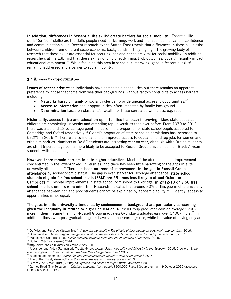In addition, differences in "essential life skills" create barriers for social mobility. "Essential life skills" (or "soft" skills) are the skills people need for learning, work and life, such as motivation, confidence and communication skills. Recent research by the Sutton Trust reveals that differences in these skills exist between children from different socio-economic backgrounds.<sup>[50](#page-14-0)</sup> They highlight the growing body of research that these skills are essential for securing jobs and hence are vital for social mobility. In addition, researchers at the LSE find that these skills not only directly impact job outcomes, but significantly impact educational attainment.<sup>51</sup> While focus on this area in schools is improving, gaps in "essential skills" remain unaddressed and a barrier to social mobility.

## **3.4 Access to opportunities**

**Issues of access arise** when individuals have comparable capabilities but there remains an apparent preference for those that come from wealthier backgrounds. Various factors contribute to access barriers, including:

- Networks based on family or social circles can provide unequal access to opportunities.<sup>52</sup>
- Access to information about opportunities, often impacted by family background.
- Discrimination based on class and/or wealth (or those correlated with class, e.g. race).

Historically, access to job and education opportunities has been improving. More state-educated children are completing university and attending top universities than ever before. From 1970 to 2012 there was a 15 and 13 percentage point increase in the proportion of state school pupils accepted to Cambridge and Oxford respectively.<sup>[53](#page-14-3)</sup> Oxford's proportion of state-schooled admissions has increased to 59.2% in 2016.[54](#page-14-4) There are also indications of improved access to education and top jobs for women and ethnic minorities. Numbers of BAME students are increasing year on year, although white British students are still 16 percentage points more likely to be accepted to Russell Group universities than Black African students with the same grades.<sup>[55](#page-14-5)</sup>

However, there remain barriers to elite higher education. Much of the aforementioned improvement is concentrated in the lower-ranked universities, and there has been little narrowing of the gaps in elite university attendance.<sup>[56](#page-14-6)</sup> There has been no trend of improvement in the gap in Russell Group attendance by socioeconomic status. The gap is even starker for Oxbridge attendance; state school students eligible for free school meals (FSM) are 55 times less likely to attend Oxford or Cambridge.<sup>57</sup> Despite improvements in state school admissions to Oxbridge, in 2012/13 only 50 free school meals students were admitted. Research indicates that around 30% of this gap in elite university attendance between rich and poor students cannot be explained by academic ability.<sup>[58](#page-14-8)</sup> Evidently, access to opportunities is not equal.

The gaps in elite university attendance by socioeconomic background are particularly concerning given the inequality in returns to higher education. Russell Group graduates earn on average £200k more in their lifetime than non-Russell Group graduates; Oxbridge graduates earn over £400k more.<sup>[59](#page-14-9)</sup> In addition, those with post-graduate degrees have seen their earnings rise, while the value of having only an

<sup>&</sup>lt;sup>50</sup> De Vries and Rentfrow (Sutton Trust), A winning personality: The effects of background on personality and earnings, 2016.

<span id="page-14-1"></span><span id="page-14-0"></span><sup>&</sup>lt;sup>51</sup> Blanden et al., Accounting for intergenerational income persistence: Non-cognitive skills, ability and education, 2007.

<span id="page-14-2"></span> $52$  Macrcenaro-Gutierrez et al., Social mobility, parental help, and the importance of networks, 2015.

<span id="page-14-3"></span><sup>&</sup>lt;sup>53</sup> Bolton, Oxbridge 'elitism', 2014.

<sup>54</sup> http://www.bbc.co.uk/news/education-37250916

<span id="page-14-5"></span><span id="page-14-4"></span><sup>&</sup>lt;sup>55</sup> Alexander and Arday (Runnymede Trust), Aiming higher: Race, Inequality and Diversity in the Academy, 2015. Crawford, Socioeconomic gaps in HE participation: how have they changed over time?, 2012.

<span id="page-14-6"></span><sup>&</sup>lt;sup>56</sup> Blanden and Macmillan, *Education and intergenerational mobility: Help or hindrance?*, 2014.

<span id="page-14-7"></span> $57$  The Sutton Trust, *Responding to the new landscape for university access*, 2010.

<sup>&</sup>lt;sup>58</sup> Jerrim (The Sutton Trust), Family background and access to 'high status' universities, 2013.

<span id="page-14-9"></span><span id="page-14-8"></span><sup>&</sup>lt;sup>59</sup> Gurney-Read (The Telegraph), *Oxbridge graduates 'earn double* £200,000 Russell Group premium', 9 October 2015 (accessed online: 5 August 2016).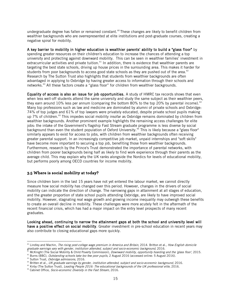undergraduate degree has fallen or remained constant.<sup>[60](#page-15-0)</sup> These changes are likely to benefit children from wealthier backgrounds who are overrepresented at elite institutions and post-graduate courses, creating a negative spiral for mobility.

A key barrier to mobility in higher education is wealthier parents' ability to build a "glass floor" by spending greater resources on their children's education to increase the chances of attending a top university and protecting against downward mobility. This can be seen in wealthier families' investment in extracurricular activities and private tuition.<sup>[61](#page-15-1)</sup> In addition, there is evidence that wealthier parents are targeting the best state schools, driving up house prices in the surrounding area. This makes it harder for students from poor backgrounds to access good state schools as they are pushed out of the area.<sup>[62](#page-15-2)</sup> Research by The Sutton Trust also highlights that students from wealthier backgrounds are often advantaged in applying to Oxbridge by having greater access to information through their schools and networks.<sup>[63](#page-15-3)</sup> All these factors create a "glass floor" for children from wealthier backgrounds.

Equality of access is also an issue for job opportunities. A study of HMRC tax records shows that even when less well-off students attend the same university and study the same subject as their wealthier peers, they earn around 10% less per annum (comparing the bottom 80% to the top 20% by parental income).<sup>[64](#page-15-4)</sup> Many top professions such as law and medicine are dominated by alumni of private schools and Oxbridge: 74% of top judges and 61% of top lawyers were privately educated, despite private school pupils making up 7% of children.<sup>[65](#page-15-5)</sup> This impedes social mobility insofar as Oxbridge remains dominated by children from wealthier backgrounds. Another prominent example highlights the remaining access challenges for elite jobs: the intake of the Government's flagship Fast Stream graduate programme is less diverse by social background than even the student population of Oxford University.<sup>[66](#page-15-6)</sup> This is likely because a "glass floor" similarly appears to exist for access to jobs, with children from wealthier backgrounds often receiving greater parental support. In an increasingly competitive job market, unpaid internships and "soft skills" have become more important to securing a top job, benefiting those from wealthier backgrounds. Furthermore, research by the Prince's Trust demonstrated the importance of parental networks, with children from poorer backgrounds being half as likely to find work experience through their parents as the average child. This may explain why the UK ranks alongside the Nordics for levels of educational mobility, but performs poorly among OECD countries for income mobility.

## **3.5 Where is social mobility at today?**

Since children born in the last 15 years have not yet entered the labour market, we cannot directly measure how social mobility has changed over this period. However, changes in the drivers of social mobility can indicate the direction of change. The narrowing gaps in attainment at all stages of education, and the greater proportion of state school pupils attending Oxbridge, are likely to have improved social mobility. However, stagnating real wage growth and growing income inequality may outweigh these benefits to create an overall decline in mobility. These challenges were more acutely felt in the aftermath of the recent financial crisis, which has had a major impact on the entry level prospects of many recent graduates.

Looking ahead, continuing to narrow the attainment gaps at both the school and university level will have a positive effect on social mobility. Greater investment in pre-school education in recent years may also contribute to closing educational gaps more quickly.

<span id="page-15-0"></span><sup>&</sup>lt;sup>60</sup> Lindley and Machin, *The rising post-college wage premium in America and Britain*, 2014. Britton et al., *How English domicile* graduate earnings vary with gender, institution attended, subject and socio-economic background, 2016.

<span id="page-15-1"></span>McKnight (The Social Mobility & Child Poverty Commission), Downward mobility, opportunity hoarding and the 'glass floor', 2015.

<span id="page-15-2"></span><sup>&</sup>lt;sup>62</sup> Burns (BBC), Outstanding schools take too few poor pupils, 2 August 2016 (accessed online: 5 August 2016).

<sup>&</sup>lt;sup>63</sup> Sutton Trust, Oxbridge admissions, 2016.

<span id="page-15-4"></span><span id="page-15-3"></span><sup>&</sup>lt;sup>64</sup> Britten et al., UK graduate earnings by gender, institution attended, subject and socio-economic background, 2016.

 $65$  Kirby (The Sutton Trust), Leading People 2016: The educational backgrounds of the UK professional elite, 2016.

<span id="page-15-6"></span><span id="page-15-5"></span><sup>&</sup>lt;sup>66</sup> Cabinet Office, Socio-economic Diversity in the Fast Stream, 2016.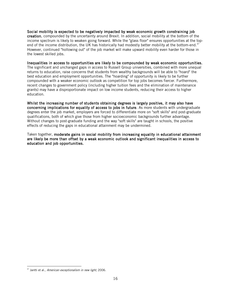Social mobility is expected to be negatively impacted by weak economic growth constraining job creation, compounded by the uncertainty around Brexit. In addition, social mobility at the bottom of the income spectrum is likely to weaken going forward. While the "glass floor" ensures opportunities at the top-end of the income distribution, the UK has historically had modestly better mobility at the bottom-end.<sup>[67](#page-16-0)</sup> However, continued "hollowing out" of the job market will make upward mobility even harder for those in the lowest skilled jobs.

Inequalities in access to opportunities are likely to be compounded by weak economic opportunities. The significant and unchanged gaps in access to Russell Group universities, combined with more unequal returns to education, raise concerns that students from wealthy backgrounds will be able to "hoard" the best education and employment opportunities. The "hoarding" of opportunity is likely to be further compounded with a weaker economic outlook as competition for top jobs becomes fiercer. Furthermore, recent changes to government policy (including higher tuition fees and the elimination of maintenance grants) may have a disproportionate impact on low income students, reducing their access to higher education.

Whilst the increasing number of students obtaining degrees is largely positive, it may also have concerning implications for equality of access to jobs in future. As more students with undergraduate degrees enter the job market, employers are forced to differentiate more on "soft skills" and post-graduate qualifications, both of which give those from higher socioeconomic backgrounds further advantage. Without changes to post-graduate funding and the way "soft skills" are taught in schools, the positive effects of reducing the gaps in educational attainment may be undermined.

Taken together, moderate gains in social mobility from increasing equality in educational attainment are likely be more than offset by a weak economic outlook and significant inequalities in access to education and job opportunities.

<span id="page-16-0"></span> $\overline{a}$  $67$  Jantti et al., American exceptionalism in new light, 2006.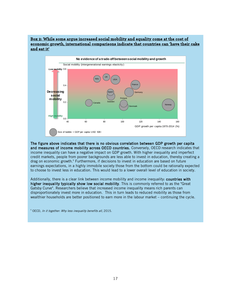## **Box 2: While some argue increased social mobility and equality come at the cost of economic growth, international comparisons indicate that countries can 'have their cake and eat it'**



The figure above indicates that there is no obvious correlation between GDP growth per capita and measures of income mobility across OECD countries. Conversely, OECD research indicates that income inequality can have a negative impact on GDP growth. With higher inequality and imperfect credit markets, people from poorer backgrounds are less able to invest in education, thereby creating a drag on economic growth.<sup>6</sup> Furthermore, if decisions to invest in education are based on future earnings expectations, in a highly immobile society those from the bottom could be rationally expected to choose to invest less in education. This would lead to a lower overall level of education in society.

Additionally, there is a clear link between income mobility and income inequality: countries with higher inequality typically show low social mobility. This is commonly referred to as the "Great Gatsby Curve". Researchers believe that increased income inequality means rich parents can disproportionately invest more in education. This in turn leads to reduced mobility as those from wealthier households are better positioned to earn more in the labour market – continuing the cycle.

<sup>&</sup>lt;sup>6</sup> OECD, In it together: Why less inequality benefits all, 2015.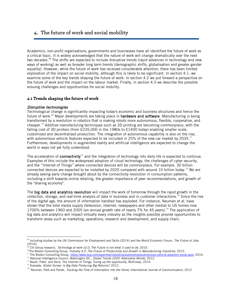# **4. The future of work and social mobility**

Academics, non-profit organisations, governments and businesses have all identified the future of work as a critical topic. It is widely acknowledged that the nature of work will change dramatically over the next two decades.<sup>[68](#page-18-0)</sup> The shifts are expected to include disruptive trends (rapid advances in technology and new ways of working) as well as broader long term trends (demographic shifts, globalisation and greater gender equality). However, while the future of work has received considerable attention, there has been limited exploration of the impact on social mobility, although this is likely to be significant. In section 4.1, we examine some of the key trends shaping the future of work. In section 4.2 we put forward a perspective on the future of work and the impact on the labour market. Finally, in section 4.3 we describe the possible ensuing challenges and opportunities for social mobility.

## **4.1 Trends shaping the future of work**

#### Disruptive technologies

Technological change is significantly impacting today's economic and business structures and hence the future of work.<sup>[69](#page-18-1)</sup> Major developments are taking place in **hardware and software**. Manufacturing is being transformed by a revolution in robotics that is making robots more autonomous, flexible, cooperative, and cheaper.<sup>[70](#page-18-2)</sup> Additive manufacturing techniques such as 3D printing are becoming commonplace, with the falling cost of 3D printers (from £235,000 in the 1980s to £1400 today) enabling smaller scale. customised and decentralised production. The integration of autonomous capability is also on the rise, with autonomous vehicle features expected to be included in 25% of the new car market by 2035.<sup>[71](#page-18-3)</sup> Furthermore, developments in augmented reality and artificial intelligence are expected to change the world in ways not yet fully understood.

The acceleration of **connectivity**<sup> $72$ </sup> and the integration of technology into daily life is expected to continue. Examples of this include the widespread adoption of cloud technology, the challenges of cyber security, and the "Internet of Things" where connected devices will be commonplace. For example, 30 billion connected devices are expected to be installed by 2020 compared with around 10 billion today.<sup>[73](#page-18-5)</sup> We are already seeing early change brought about by the connectivity revolution in consumption patterns, including a shift towards online retailing, the greater importance of peer recommendations, and growth of the "sharing economy".

The big data and analytics revolution will impact the work of tomorrow through the rapid growth in the collection, storage, and real-time analysis of data in business and in customer interactions.<sup>[74](#page-18-6)</sup> Since the rise of the digital age, the amount of information handled has exploded. For instance, Neuman et al. have shown that the total media supply (television, internet, newspapers and other media) to US homes rose 1700% between 1960 and 2005 (an annual growth rate of nearly 7% for 45 years).<sup>[75](#page-18-7)</sup> The application of big data and analytics will impact virtually every industry as the insights possible provide opportunities to transform areas such as marketing, operations, research and development, and supply chain.

- <span id="page-18-4"></span><sup>72</sup> National Intelligence Council, Washington DC., *Global Trends 2030: Alternative Worlds*, 2012.
- <span id="page-18-6"></span><span id="page-18-5"></span>73 Bauer, Patel, and Veira, The Internet of Things: Sizing up the opportunity, McKinsey, 2014.

<span id="page-18-0"></span> $\overline{a}$ <sup>68</sup> Including studies by the UK Commission for Employment and Skills (2014) and the World Economic Forum, The Future of Jobs (2016)

Citi Group research, Technology at work v2.0, The Future is not what it used to be, 2016.

<span id="page-18-3"></span><span id="page-18-2"></span><span id="page-18-1"></span><sup>&</sup>lt;sup>70</sup>The Boston Consulting Group, *Industry 4.0: The Future of Productivity and Growth in Manufacturing Industries*, 2015.

<sup>&</sup>lt;sup>71</sup> The Boston Consulting Group, <https://www.bcg.com/expertise/industries/automotive/autonomous-vehicle-adoption-study.aspx>, 2016.

<sup>&</sup>lt;sup>74</sup> Avanade, Global Survey: Is Big Data Producing Big Returns?, 2012.

<span id="page-18-7"></span><sup>&</sup>lt;sup>75</sup> Neuman, Park and Panek, *Tracking the Flow of Information into the Home*, International Journal of Communication, 2012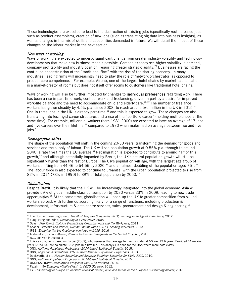These technologies are expected to lead to the destruction of existing jobs (specifically routine-based jobs such as product assemblers), creation of new jobs (such as translating big data into business insights), as well as changes in the mix of skills and capabilities demanded in future. We will detail the impact of these changes on the labour market in the next section.

#### New ways of working

Ways of working are expected to undergo significant change from greater industry volatility and technology developments that make new business models possible. Companies today see higher volatility in demand, company profitability and industry position, requiring greater strategic agility.<sup>[76](#page-19-0)</sup> Businesses are facing the continued deconstruction of the "traditional firm" with the rise of the sharing economy. In many industries, leading firms will increasingly need to play the role of 'network orchestrator' as opposed to product core competence.<sup>[77](#page-19-1)</sup> For example, Airbnb, one of the largest hotel chains by market capitalisation, is a market-creator of rooms but does not itself offer rooms to customers like traditional hotel chains.

Ways of working will also be further impacted by changes to **individual preferences** regarding work. There has been a rise in part time work, contract work and freelancing, driven in part by a desire for improved work-life balance and the need to accommodate child and elderly care.<sup>[78](#page-19-2),[79](#page-19-3)</sup> The number of freelance workers has grown steadily by 4.5% p.a. since 2008, to reach around two million in the UK in 2015.<sup>[80](#page-19-4)</sup> One in three jobs in the UK is already part-time,  $a_1$  and this is expected to grow. These changes are also translating into less rigid career structures and a rise of the "portfolio career" (holding multiple jobs at the same time). For example, millennial workers (born 1981-2000) are expected to have an average of 17 jobs and five careers over their lifetime,<sup>[82](#page-19-6)</sup> compared to 1970 when males had on average between two and five  $i$ obs. $83$ 

#### Demographic shifts

The shape of the population will shift in the coming 20-30 years, transforming the demand for goods and services and the supply of labour. The UK will see population growth at 0.55% p.a. through to around 2040, a rate five times the EU average. $84$  Net migration is expected to contribute to around half of this growth,<sup>[85](#page-19-9)</sup> and although potentially impacted by Brexit, the UK's natural population growth will still be significantly higher than the rest of Europe. The UK's population will age, with the largest age group of workers shifting from 44-46 to 54-56 by 2020,<sup>[86](#page-19-10)</sup> and an almost doubling of the population aged 75+.<sup>[87](#page-19-11)</sup> The labour force is also expected to continue to urbanise, with the urban population projected to rise from 82% in 2014 (78% in 1990) to 89% of total population by 2050.<sup>[88](#page-19-12)</sup>

#### Globalisation

Despite Brexit, it is likely that the UK will be increasingly integrated into the global economy. Asia will provide 59% of global middle-class consumption by 2030 versus 23% in 2009, leading to new trade opportunities.<sup>[89](#page-19-13)</sup> At the same time, globalisation will open up the UK to greater competition from skilled workers abroad, with further outsourcing likely for a range of functions, including production & development, infrastructure & data centre services, sales, procurement and design & engineering.<sup>[90](#page-19-14)</sup>

<span id="page-19-6"></span>82 BCG analysis in Australia

 $\overline{a}$ <sup>76</sup> The Boston Consulting Group, *The Most Adaptive Companies 2012, Winning in an Age of Turbulence,* 2012.

<span id="page-19-1"></span><span id="page-19-0"></span> $77$  Fung, Fung and Wind, *Competing in a Flat World*, 2008.

<span id="page-19-2"></span> $78$  Ouye, Five Trends that Are Dramatically Changing Work and the Workplace, 2011.

<span id="page-19-3"></span><sup>&</sup>lt;sup>79</sup> Adachi, Gretczko and Pelster, Human Capital Trends 2013: Leading Indicators, 2013.

<span id="page-19-4"></span><sup>80</sup> IPSE, Exploring the UK Freelance workforce in 2015, 2016

<span id="page-19-5"></span><sup>&</sup>lt;sup>81</sup> Andre et al., Labour Market, Welfare Reform and Inequality in the United Kingdom, 2013.

<span id="page-19-7"></span><sup>&</sup>lt;sup>83</sup> This calculation is based on Farber (2009), who assesses that average tenure for males at 50 was 13.6 years. Provided 44 working years (20 to 64), we calculate ~3.2 jobs in a lifetime. This analysis is done for the USA where more data exists

<span id="page-19-8"></span>ONS, National Population Projections: 2014-based Statistical Bulletin, 2015.

<span id="page-19-9"></span><sup>85</sup> ONS, Migration Assumptions, 2012-Based National Population Projections, 2013.

<span id="page-19-10"></span><sup>86</sup> Duckworth. et al., Horizon Scanning and Scenario Building: Scenarios for Skills 2020, 2010.

<span id="page-19-11"></span><sup>87</sup> ONS, National Population Projections: 2014-based Statistical Bulletin, 2015.

<span id="page-19-12"></span><sup>88</sup> UNDESA, World Urbanization Prospects The 2014 Revision, 2014.

<span id="page-19-13"></span><sup>&</sup>lt;sup>89</sup> Pezzini, 'An Emerging Middle-Class', in OECD Observer, 2012.

<span id="page-19-14"></span><sup>&</sup>lt;sup>90</sup> EY, Outsourcing in Europe An in-depth review of drivers, risks and trends in the European outsourcing market, 2013.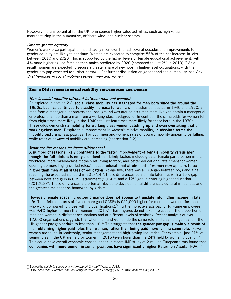However, there is potential for the UK to in-source higher value activities, such as high value manufacturing in the automotive, offshore wind, and nuclear sectors.

#### Greater gender equality

Women's workforce participation has steadily risen over the last several decades and improvements to gender equality are likely to continue. Women are expected to comprise 56% of the net increase in jobs between 2010 and 2020. This is supported by the higher levels of female educational achievement, with 4% more higher skilled females than males predicted by 2020 (compared to just 2% in 2010).<sup>[91](#page-20-0)</sup> As a result, women are expected to secure a greater share of new jobs in higher-level occupations, with the gender pay gap expected to further narrow.<sup>[92](#page-20-1)</sup> For further discussion on gender and social mobility, see *Box* 3: Differences in social mobility between men and women.

#### **Box 3: Differences in social mobility between men and women**

#### How is social mobility different between men and women?

As explored in section 2.2, social class mobility has stagnated for men born since the around the 1950s, but has continued to steadily increase for women. In studies conducted in 1940 and 1970, a man from a managerial or professional background was around six times more likely to obtain a managerial or professional job than a man from a working-class background. In contrast, the same odds for women fell from eight times more likely in the 1940s to just four times more likely for those born in the 1970s.<sup>7</sup> These odds demonstrate mobility for working-class women catching up and even overtaking that of working-class men. Despite this improvement in women's relative mobility, in absolute terms the mobility picture is less positive. For both men and women, rates of upward mobility appear to be falling, while rates of downward mobility are increasing (see section 2.2).<sup>8</sup>

#### What are the reasons for these differences?

A number of reasons likely contribute to the faster improvement of female mobility versus men, though the full picture is not yet understood. Likely factors include greater female participation in the workforce, more middle-class mothers returning to work, and better educational attainment for women, opening up more highly skilled roles.<sup>9</sup> Indeed, educational attainment of women now appears to be higher than men at all stages of education. At age five, there was a 17% gap between boys and girls reaching the expected standard in 2013/14<sup>10</sup>. These differences persist into later life, with a 16% gap between boys and girls in GCSE attainment  $(2014)^{11}$ , and a 12% gap in entering higher education  $(2012/13)^{12}$ . These differences are often attributed to developmental differences, cultural influences and the greater time spent on homework by girls. $^{13}$ 

However, female academic outperformance does not appear to translate into higher income in later life. The lifetime returns of five or more good GCSEs is £51,000 higher for men than women (for those who work, compared to those with no qualifications).<sup>14</sup> Furthermore, average pay for full-time employees was 9.4% higher for men than women in 2015.<sup>15</sup> These figures do not take into account the proportion of

men and women in different occupations and at different levels of seniority. Recent analysis of over 12,000 organisations suggests that when men and women do the same role in the same organisation, the UK gender pay gap shrinks to less than  $1\%$ .<sup>16</sup> This suggests that the gender pay gap is mainly a result of men obtaining higher paid roles than women, rather than being paid more for the same role. Fewer women are found in leadership, senior management and high-paying industries. For example, just 21% of senior roles in the UK are held by women in 2016 (even lower than the 24% held by women globally).<sup>17</sup> This could have overall economic consequences: a recent IMF study of 2 million European firms found that companies with more women in senior positions have significantly higher Return on Assets (ROA).<sup>18</sup>

<span id="page-20-0"></span> $91$  Bosworth, UK Skill Levels and International Competitiveness, 2013.

<span id="page-20-1"></span> $92$  ONS, Statistical Bulletin: Annual Survey of Hours and Earnings, 2012 Provisional Results, 2012c.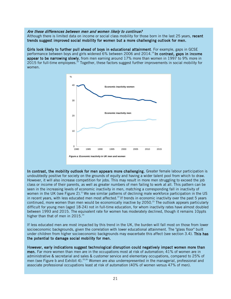#### Are these differences between men and women likely to continue?

Although there is limited data on income or social class mobility for those born in the last 25 years, recent trends suggest improved social mobility for women but a more challenging outlook for men.

Girls look likely to further pull ahead of boys in educational attainment. For example, gaps in GCSE performance between boys and girls widened 6% between 2006 and 2014.<sup>19</sup> In contrast, gaps in income appear to be narrowing slowly, from men earning around 17% more than women in 1997 to 9% more in 2015 for full-time employees.<sup>20</sup> Together, these factors suggest further improvements in social mobility for women.



In contrast, the mobility outlook for men appears more challenging. Greater female labour participation is undoubtedly positive for society on the grounds of equity and having a wider talent pool from which to draw. However, it will also increase competition for jobs. This may result in more men struggling to exceed the job class or income of their parents, as well as greater numbers of men failing to work at all. This pattern can be seen in the increasing levels of economic inactivity in men, matching a corresponding fall in inactivity of women in the UK (see Figure 2).<sup>21</sup> We see similar patterns of declining male workforce participation in the US in recent years, with less educated men most affected.<sup>22</sup> If trends in economic inactivity over the past 5 years continued, more women than men would be economically inactive by 2050.<sup>23</sup> The outlook appears particularly difficult for young men (aged 18-24) not in full-time education, for whom inactivity rates have almost doubled between 1993 and 2015. The equivalent rate for women has moderately declined, though it remains 10ppts higher than that of men in 2015.<sup>24</sup>

If less educated men are most impacted by this trend in the UK, the burden will fall most on those from lower socioeconomic backgrounds, given the correlation with lower educational attainment. The "glass floor" built under children from higher socioeconomic backgrounds may exacerbate this affect (see section 3.4). This has the potential to damage social mobility for men.

However, early indications suggest technological disruption could negatively impact women more than men. Far more women than men are in the occupations most at risk of automation; 41% of women are in administrative & secretarial and sales & customer service and elementary occupations, compared to 25% of men (see Figure b and Exhibit 4).<sup>25,26</sup> Women are also underrepresented in the managerial, professional and associate professional occupations least at risk of automation (40% of women versus 47% of men).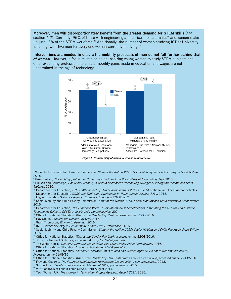Moreover, men will disproportionately benefit from the greater demand for STEM skills (see section 4.2). Currently, 96% of those with engineering apprenticeships are male,<sup>27</sup> and women make up just 13% of the STEM workforce.<sup>28</sup> Additionally, the number of women studying ICT at University is falling, with five men for every one woman currently studying.<sup>29</sup>

Interventions are needed to ensure the mobility prospects of men do not fall further behind that of women. However, a focus must also be on inspiring young women to study STEM subjects and enter expanding professions to ensure mobility gains made in education and wages are not undermined in the age of technology.



Figure b: Vulnerability of men and women to automation

<sup>7</sup> Social Mobility and Child Poverty Commission, *State of the Nation 2015: Social Mobility and Child Poverty in Great Britain*, 2015.

8 Bukodi et al., The mobility problem in Britain: new findings from the analysis of birth cohort data, 2015.

9 Erikson and Goldthorpe, Has Social Mobility in Britain Decreased? Reconciling Divergent Findings on Income and Class Mobility, 2010.

10 Department for Education, EYFSP Attainment by Pupil Characteristics 2013 to 2014, National and Local Authority tables

<sup>11</sup> Department for Education, GCSE and Equivalent Attainment by Pupil Characteristics: 2014, 2015.

<sup>12</sup> Higher Education Statistics Agency, Student Introduction 2012/2013.

<sup>13</sup> Social Mobility and Child Poverty Commission, State of the Nation 2015: Social Mobility and Child Poverty in Great Britain, 2015.

<sup>14</sup> Department for Education, The Economic Value of Key Intermediate Qualifications: Estimating the Returns and Lifetime Productivity Gains to GCSEs, A levels and Apprenticeships, 2014.

<sup>15</sup> Office for National Statistics, What is the Gender Pay Gap?, accessed online 22/08/2016.

<sup>16</sup> Hay Group, Tackling the Gender Pay Gap, 2015.

<sup>17</sup> Grant Thompson, Women in Business, 2016.

<sup>18</sup> IMF, Gender Diversity in Senior Positions and Firm Performance, 2016.

<sup>19</sup> Social Mobility and Child Poverty Commission, State of the Nation 2015: Social Mobility and Child Poverty in Great Britain, 2015.

 $20$  Office for National Statistics, What is the Gender Pay Gap?, accessed online 22/08/2016.

<sup>21</sup> Office for National Statistics, *Economic Activity for 16-64 year olds.* 

<sup>22</sup> The White House, The Long Term Decline in Prime Age Male Labour Force Participation, 2016.

<sup>23</sup> Office for National Statistics, Economic Activity for 16-64 year olds.

<sup>24</sup> Office for National Statistics: Economic Inactivity Rates in Men and Women aged 18-24 not in full-time education,

Accessed online 01/09/16

Office for National Statistics, What is the Gender Pay Gap? (data from Labour Force Survey), accessed online 22/08/2016.

- <sup>26</sup> Frey and Osborne, The Future of employment: How susceptible are jobs to computerisation, 2013.
- <sup>27</sup> Sutton Trust, Levels of Success: The Potential of UK Apprenticeships, 2015.
- <sup>28</sup> WISE analysis of Labour Force Survey, April-August 2014.

<sup>29</sup> Tech Women UK, *The Women in Technology Project Research Report 2015*, 2015.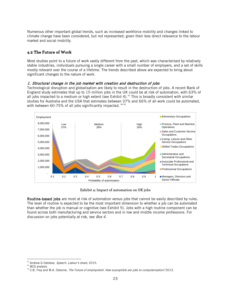Numerous other important global trends, such as increased workforce mobility and changes linked to climate change have been considered, but not represented, given their less direct relevance to the labour market and social mobility.

## **4.2 The Future of Work**

Most studies point to a future of work vastly different from the past, which was characterised by relatively stable industries, individuals pursuing a single career with a small number of employers, and a set of skills mostly relevant over the course of a lifetime. The trends described above are expected to bring about significant changes to the nature of work.

#### 1. Structural change in the job market with creation and destruction of jobs

Technological disruption and globalisation are likely to result in the destruction of jobs. A recent Bank of England study estimates that up to 15 million jobs in the UK could be at risk of automation, with 63% of all jobs impacted to a medium or high extent (see Exhibit 4).<sup>[93](#page-23-0)</sup> This is broadly consistent with similar studies for Australia and the USA that estimates between 37% and 66% of all work could be automated, with between 60-75% of all jobs significantly impacted. <sup>[94,](#page-23-1)[95](#page-23-2)</sup>



**Exhibit 4: Impact of automation on UK jobs**

Routine-based jobs are most at risk of automation versus jobs that cannot be easily described by rules. The level of routine is expected to be the most important dimension to whether a job can be automated than whether the job is manual or cognitive (see Exhibit 5). Jobs with a high routine component can be found across both manufacturing and service sectors and in low and middle income professions. For discussion on jobs potentially at risk, see Box 4.

 $\overline{a}$ 93 Andrew G Haldane, Speech: Labour's share, 2015.

<span id="page-23-1"></span><span id="page-23-0"></span><sup>94</sup> BCG analysis

<span id="page-23-2"></span><sup>&</sup>lt;sup>95</sup> C.B. Frey and M.A. Osborne, The Future of employment: How susceptible are jobs to computerisation? 2013.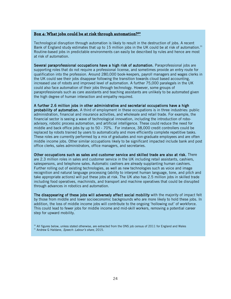## **Box 4: What jobs could be at risk through automation?30**

Technological disruption through automation is likely to result in the destruction of jobs. A recent Bank of England study estimates that up to 15 million jobs in the UK could be at risk of automation.<sup>31</sup> Routine-based jobs in predictable environments can easily be described by rules and hence are most at risk of automation.

Several paraprofessional occupations have a high risk of automation. Paraprofessional jobs are supporting roles that do not require a professional license, and sometimes provide an entry route for qualification into the profession. Around 280,000 book-keepers, payroll managers and wages clerks in the UK could see their jobs disappear following the transition towards cloud based accounting, increased use of robots and improved level of automation. A further 75,000 paralegals in the UK could also face automation of their jobs through technology. However, some groups of paraprofessionals such as care assistants and teaching assistants are unlikely to be automated given the high degree of human interaction and empathy required.

A further 2.6 million jobs in other administrative and secretarial occupations have a high probability of automation. A third of employment in these occupations is in three industries: public administration, financial and insurance activities, and wholesale and retail trade. For example, the financial sector is seeing a wave of technological innovation, including the introduction of roboadvisory, robotic process automation, and artificial intelligence. These could reduce the need for middle and back office jobs by up to 50 - 70%. For instance, 38,000 credit controllers could be replaced by robots trained by users to automatically and more efficiently complete repetitive tasks. These roles are currently performed by a mix of graduates and non-graduate employees and are often middle income jobs. Other similar occupations likely to be significant impacted include bank and post office clerks, sales administrators, office managers, and secretaries.

Other occupations such as sales and customer service and skilled trade are also at risk. There are 2.3 million roles in sales and customer service in the UK including retail assistants, cashiers, salespersons, and telephone sales. Automatic cashiers are already supplanting human cashiers. Further rolling out of existing technologies, as well as new technologies such as voice and image recognition and natural language processing (ability to interpret human language, tone, and pitch and take appropriate actions) will put these jobs at risk. The UK also has 2.5 million jobs in skilled trade including food operatives, machinists, and transport and machine operatives that could be disrupted through advances in robotics and automation.

The disappearing of these jobs will adversely affect social mobility with the majority of impact felt by those from middle and lower socioeconomic backgrounds who are more likely to hold these jobs. In addition, the loss of middle income jobs will contribute to the ongoing 'hollowing out' of workforce. This could lead to fewer jobs for middle income and mid-skill workers, removing a potential career step for upward mobility.

<sup>30</sup> All figures below, unless stated otherwise, are extracted from the ONS job census of 2011 for England and Wales <sup>31</sup> Andrew G Haldane, Speech: Labour's share, 2015.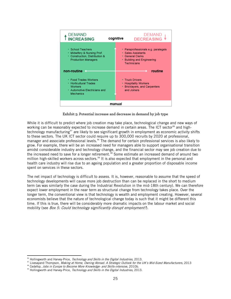

**Exhibit 5: Potential increase and decrease in demand by job type**

While it is difficult to predict where job creation may take place, technological change and new ways of working can be reasonably expected to increase demand in certain areas. The ICT sector<sup>[96](#page-25-0)</sup> and hightechnology manufacturing<sup>97</sup> are likely to see significant growth in employment as economic activity shifts to these sectors. The UK ICT sector could require up to 300,000 recruits by 2020 at professional, manager and associate professional levels.<sup>96</sup> The demand for certain professional services is also likely to grow. For example, there will be an increased need for managers able to support organisational transition amidst considerable industry and technology change, and the financial sector may see job creation due to the increased need to save for a longer retirement.<sup>[98](#page-25-2)</sup> Some estimate an increased demand of around two million high-skilled workers across sectors.<sup>[99](#page-25-3)</sup> It is also expected that employment in the personal and health care industry will rise due to an ageing population and a greater proportion of disposable income spent on services in these sectors.

The net impact of technology is difficult to assess. It is, however, reasonable to assume that the speed of technology developments will cause more job destruction than can be replaced in the short to medium term (as was similarly the case during the Industrial Revolution in the mid-18th century). We can therefore expect lower employment in the near term as structural change from technology takes place. Over the longer term, the conventional view is that technology is wealth and employment creating. However, several economists believe that the nature of technological change today is such that it might be different this time. If this is true, there will be considerably more dramatic impacts on the labour market and social mobility (see *Box 5: Could technology significantly disrupt employment?*).

<span id="page-25-0"></span><sup>&</sup>lt;sup>96</sup> Hollingworth and Harvey-Price, Technology and Skills in the Digital Industries, 2013.

<span id="page-25-1"></span><sup>&</sup>lt;sup>97</sup> Livesayand Thompson, Making at Home, Owning Abroad. A Strategic Outlook for the UK's Mid-Sized Manufacturers, 2013

<sup>&</sup>lt;sup>98</sup> Cedefop, Jobs in Europe to Become More Knowledge- and Skills-intensive, 2010b.

<span id="page-25-3"></span><span id="page-25-2"></span><sup>99</sup> Hollingworth and Harvey-Price, Technology and Skills in the Digital Industries, 2013.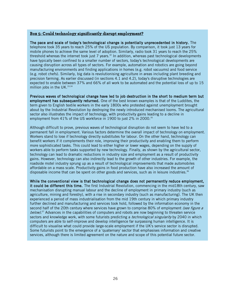## **Box 5: Could technology significantly disrupt employment?**

The pace and scale of today's technological change is potentially unprecedented in history. The telephone took 35 years to reach 25% of the US population. By comparison, it took just 13 years for mobile phones to achieve the same level of adoption. Similarly, radio took 31 years to reach the 25% threshold whereas the internet took just  $7$  years.<sup>32</sup> In addition, whereas past technological developments have typically been confined to a smaller number of sectors, today's technological developments are causing disruption across all types of sectors. For example, automation and robotics are going beyond manufacturing environments and finding applications in homes (e.g. robot vacuums) and food service (e.g. robot chefs). Similarly, big data is revolutionising agriculture in areas including plant breeding and precision farming. As earlier discussed (in sections 4.1 and 4.2), today's disruptive technologies are expected to enable between 37% and 66% of all work to be automated and the potential loss of up to 15 million jobs in the UK. $33,34$ 

Previous waves of technological change have led to job destruction in the short to medium term but employment has subsequently returned. One of the best known examples is that of the Luddites, the term given to English textile workers in the early 1800s who protested against unemployment brought about by the Industrial Revolution by destroying the newly introduced mechanised looms. The agricultural sector also illustrates the impact of technology, with productivity gains leading to a decline in employment from 41% of the US workforce in 1900 to just 2% in 2000.<sup>35</sup>

Although difficult to prove, previous waves of technological disruption do not seem to have led to a permanent fall in employment. Various factors determine the overall impact of technology on employment. Workers stand to lose if technology directly substitutes for labour. On the other hand, technology can benefit workers if it complements their role, improving their productivity and enabling them to perform more sophisticated tasks. This could lead to either higher or lower wages, depending on the supply of workers able to perform tasks supported by new technology. Finally, as shown by the agricultural sector, technology can lead to dramatic reductions in industry size and employment as a result of productivity gains. However, technology can also indirectly lead to the growth of other industries. For example, the roadside motel industry sprung up as a result of technological improvements that made automobiles affordable on a mass scale. Productivity gains in food production have also increased the amount of disposable income that can be spent on other goods and services, such as in leisure industries.<sup>36</sup>

While the conventional view is that technological change does not permanently reduce employment, it could be different this time. The first Industrial Revolution, commencing in the mid18th century, saw mechanisation disrupting manual labour and the decline of employment in primary industry (such as agriculture, mining and forestry), with a rise in secondary industry (such as manufacturing). The UK then experienced a period of mass industrialisation from the mid 19th century in which primary industry further declined and manufacturing and services took hold, followed by the information economy in the second half of the 20th century where services have grown to comprise 80% of employment (see figure a below).<sup>37</sup> Advances in the capabilities of computers and robots are now beginning to threaten service sectors and knowledge work, with some futurists predicting a *technological singularity* by 2040 in which computers are able to self-improve and develop intelligence far surpassing human intelligence. It is difficult to visualise what could provide large-scale employment if the UK's service sector is disrupted. Some futurists point to the emergence of a 'quaternary' sector that emphasises information and creative services, although there is limited agreement on the nature and scope of this potential future sector.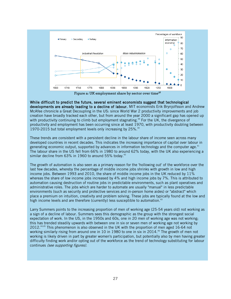

While difficult to predict the future, several eminent economists suggest that technological developments are already leading to a decline of labour. MIT economists Erik Brynjolfsson and Andrew McAfee chronicle a Great Decoupling in the US: since World War 2 productivity improvements and job creation have broadly tracked each other, but from around the year 2000 a significant gap has opened up with productivity continuing to climb but employment stagnating.<sup>39</sup> For the UK, the divergence of productivity and employment has been occurring since at least 1970, with productivity doubling between 1970-2015 but total employment levels only increasing by 25%.<sup>40</sup>

These trends are consistent with a persistent decline in the labour share of income seen across many developed countries in recent decades. This indicates the increasing importance of capital over labour in generating economic output, supported by advances in information technology and the computer age.<sup>41</sup> The labour share in the US fell from 66% in 1980 to around 62% today, with the UK also experiencing a similar decline from  $63\%$  in 1960 to around 55% today.<sup>42</sup>

The growth of automation is also seen as a primary reason for the 'hollowing out' of the workforce over the last few decades, whereby the percentage of middle income jobs shrinks with growth in low and high income jobs. Between 1993 and 2010, the share of middle income jobs in the UK reduced by 11% whereas the share of low income jobs increased by 4% and high income jobs by 7%. This is attributed to automation causing destruction of routine jobs in predictable environments, such as plant operatives and administrative roles. The jobs which are harder to automate are usually "manual" in less predictable environments (such as security and protective services and in-person home aides) or "abstract" which place a premium on intuition, creativity and problem solving. These jobs are typically found at the low and high income levels and are therefore (currently) less susceptible to automation.<sup>43</sup>

Larry Summers points to the increasing proportion of men of working age (25-54 years old) not working as a sign of a decline of labour. Summers sees this demographic as the group with the strongest social expectation of work. In the US, in the 1950s and 60s, one in 20 men of working age was not working; this has trended steadily upwards with between one in six or seven men of working age not working by 2012.44,45 This phenomenon is also observed in the UK with the proportion of men aged 16-64 not working similarly rising from around one in 10 in 1980 to one in six in 2014.<sup>46</sup> The growth of men not working is likely driven in part by greater women's participation, but potentially also by men having greater difficulty finding work and/or opting out of the workforce as the trend of technology substituting for labour continues (see supporting figures).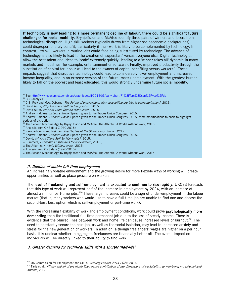If technology is now leading to a more permanent decline of labour, there could be significant future challenges for social mobility. Brynjolfsson and McAfee identify three pairs of winners and losers from technological disruption. High skill workers (typically drawn from higher socioeconomic backgrounds) could disproportionately benefit, particularly if their work is likely to be complemented by technology. In contrast, low skill workers in routine jobs could face being substituted by technology. The advance of technology is also likely to lead to the creation of 'superstars' versus everyone else. Digital technologies allow the best talent and ideas to 'scale' extremely quickly, leading to a 'winner takes all' dynamic in many markets and industries (for example, entertainment or software). Finally, improved productivity through the substitution of capital for labour will lead to the owners of capital benefiting versus workers.<sup>47</sup> These impacts suggest that disruptive technology could lead to considerably lower employment and increased income inequality, and in an extreme version of the future, mass unemployment. With the greatest burden likely to fall on the poorest and least educated, this would strongly undermine future social mobility.

- <sup>32</sup> Se[e http://www.economist.com/blogs/graphicdetail/2014/03/daily-chart-7?%3Ffsrc%3Dscn%2F=tw%2Fdc](http://www.economist.com/blogs/graphicdetail/2014/03/daily-chart-7?%3Ffsrc%3Dscn%2F=tw%2Fdc)
- <sup>33</sup> BCG analysis
- <sup>34</sup> C.B. Frey and M.A. Osborne, The Future of employment: How susceptible are jobs to computerisation?, 2013.
- <sup>35</sup> David Autor, Why Are There Still So Many Jobs?, 2015.
- <sup>36</sup> David Autor, Why Are There Still So Many Jobs?, 2015.
- Andrew Haldane, Labour's Share. Speech given to the Trades Union Congress, 2015.
- <sup>38</sup> Andrew Haldane, *Labour's Share*. Speech given to the Trades Union Congress, 2015; some modifications to chart to highlight periods of disruption
- The Second Machine Age by Brynjolfsson and McAfee; The Atlantic, A World Without Work, 2015.
- <sup>40</sup> Analysis from ONS data (1970-2015)
- <sup>41</sup> Karabarbounis and Neiman, The Decline of the Global Labor Share, 2013
- <sup>42</sup> Andrew Haldane, *Labour's Share*. Speech given to the Trades Union Congress, 2015.
- <sup>43</sup> David, Why Are There Still So Many Jobs?, 2015.
- 44 Summers, Economic Possibilities for our Children, 2013.,
- 45 The Atlantic, A World Without Work, 2015.
- <sup>46</sup> Analysis from ONS data (1970-2015)
- 47 The Second Machine Age by Brynjolfsson and McAfee; The Atlantic, A World Without Work, 2015.

#### 2. Decline of stable full-time employment

An increasingly volatile environment and the growing desire for more flexible ways of working will create opportunities as well as place pressure on workers.

The level of freelancing and self-employment is expected to continue to rise rapidly. UKCES forecasts that this type of work will represent half of the increase in employment by 2024, with an increase of almost a million part-time jobs.<sup>[100](#page-28-0)</sup> These large increases could be a sign of under-employment in the labour market (that is, many workers who would like to have a full-time job are unable to find one and choose the second-best best option which is self-employment or part-time work).

With the increasing flexibility of work and employment conditions, work could prove **psychologically more** demanding than the traditional full-time permanent job due to the loss of steady income. There is evidence that the blurred lines between work and home life can cause increased levels of burnout.<sup>[101](#page-28-1)</sup> The need to constantly secure the next job, as well as the social isolation, may lead to increased anxiety and stress for the new generation of workers. In addition, although freelancers' wages are higher on a per hour basis, it is unclear whether in aggregate freelancers are financially better off. The overall impact on individuals will be directly linked to their ability to find work.

## 3. Greater demand for technical skills with a shorter 'half-life'

 $\overline{a}$ 100 UK Commission for Employment and Skills, Working Futures 2014-2024, 2016.

<span id="page-28-1"></span><span id="page-28-0"></span><sup>&</sup>lt;sup>101</sup> Taris et al., All day and all of the night: The relative contribution of two dimensions of workaholism to well-being in self-employed workers, 2008.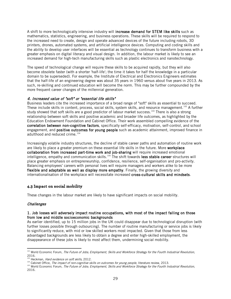A shift to more technologically intensive industry will **increase demand for STEM like skills** such as mathematics, statistics, engineering, and business operations. These skills will be required to respond to the increased need to create, design and operate advanced devices of the future including robots, 3D printers, drones, automated systems, and artificial intelligence devices. Computing and coding skills and the ability to develop user interfaces will be essential as technology continues to transform business with a greater emphasis on digital literacy and visual design. In addition, the labour market is likely to see an increased demand for high-tech manufacturing skills such as plastic electronics and nanotechnology.

The speed of technological change will require these skills to be acquired rapidly, but they will also become obsolete faster (with a shorter 'half-life'; the time it takes for half the knowledge in a particular domain to be superseded). For example, the Institute of Electrical and Electronics Engineers estimates that the half-life of an engineering degree was about 35 years in 1960 versus about five years in 2013. As such, re-skilling and continued education will become the norm. This may be further compounded by the more frequent career changes of the millennial generation.

#### 4. Increased value of "soft" or "essential life skills"

Business leaders cite the increased importance of a broad range of "soft" skills as essential to succeed. These include skills in content, process, social skills, system skills, and resource management.<sup>[102](#page-29-0)</sup> A further study showed that soft skills are a good predictor of labour market success.<sup>[103](#page-29-1)</sup> There is also a strong relationship between soft skills and positive academic and broader life outcomes, as highlighted by the Education Endowment Foundation and Cabinet Office. Their work assembled compelling evidence of the correlation between non-cognitive factors, specifically self-efficacy, motivation, self-control, and school engagement, and positive outcomes for young people such as academic attainment, improved finance in adulthood and reduced crime.<sup>[104](#page-29-2)</sup>

Increasingly volatile industry structures, the decline of stable career paths and automation of routine work are likely to place a greater premium on these essential life skills in the future. More workplace collaboration from increased part-time work and job-sharing will require increased emotional intelligence, empathy and communication skills.<sup>[105](#page-29-3)</sup> The shift towards less stable career structures will place greater emphasis on entrepreneurship, confidence, resilience, self-organisation and pro-activity. Balancing employees' careers with personal lives will require managers and workers alike to be more flexible and adaptable as well as display more empathy. Finally, the growing diversity and internationalisation of the workplace will necessitate increased cross-cultural skills and mindsets.

## **4.3 Impact on social mobility**

These changes in the labour market are likely to have significant impacts on social mobility.

#### **Challenges**

#### 1. Job losses will adversely impact routine occupations, with most of the impact falling on those from low and middle socioeconomic backgrounds

As earlier identified, up to 15 million jobs in the UK could disappear due to technological disruption (with further losses possible through outsourcing). The number of routine manufacturing or service jobs is likely to significantly reduce, with mid or low skilled workers most impacted. Given that those from less advantaged backgrounds are less likely to obtain a degree and enter high-skilled employment, the disappearance of these jobs is likely to most affect them, undermining social mobility.

<span id="page-29-0"></span> $\ddot{\phantom{a}}$ <sup>102</sup> World Economic Forum, The Future of Jobs; Employment, Skills and Workforce Strategy for the Fourth Industrial Revolution, 2016.

<span id="page-29-1"></span><sup>&</sup>lt;sup>3</sup> Heckman, *Hard evidence on soft skills*, 2012.

<sup>104</sup> Cabinet Office, The impact of non-cognitive skills on outcomes for young people, literature review, 2013.

<span id="page-29-3"></span><span id="page-29-2"></span><sup>&</sup>lt;sup>105</sup> World Economic Forum, The Future of Jobs; Employment, Skills and Workforce Strategy for the Fourth Industrial Revolution, 2016.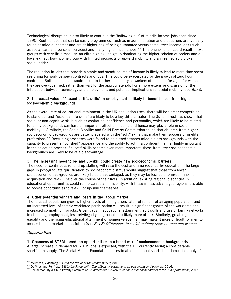Technological disruption is also likely to continue the 'hollowing out' of middle income jobs seen since 1990. Routine jobs that can be easily programmed, such as in administration and production, are typically found at middle incomes and are at higher risk of being automated versus some lower income jobs (such as social care and personal services) and many higher income jobs.<sup>[106](#page-30-0)</sup> This phenomenon could result in two groups with very little mobility: an elite high skilled group dominating the higher echelon of society and a lower-skilled, low-income group with limited prospects of upward mobility and an irremediably broken social ladder.

The reduction in jobs that provide a stable and steady source of income is likely to lead to more time spent searching for work between contracts and jobs. This could be exacerbated by the growth of zero hour contracts. Both phenomena would result in further immobility as workers often settle for a job for which they are over-qualified, rather than wait for the appropriate job. For a more extensive discussion of the interaction between technology and employment, and potential implications for social mobility, see  $Box$  5.

## 2. Increased value of "essential life skills" in employment is likely to benefit those from higher socioeconomic backgrounds

As the overall rate of educational attainment in the UK population rises, there will be fiercer competition to stand out and "essential life skills" are likely to be a key differentiator. The Sutton Trust has shown that social or non-cognitive skills such as aspiration, confidence and personality, which are likely to be related to family background, can have an important effect on income and hence may play a role in social mobility.[107](#page-30-1) Similarly, the Social Mobility and Child Poverty Commission found that children from higher socioeconomic backgrounds are better prepared with the "soft"' skills that make them successful in elite professions.<sup>108</sup> Recruiting processes were found to be biased towards middle-class backgrounds with the capacity to present a "polished" appearance and the ability to act in a confident manner highly important in the selection process. As "soft" skills become even more important, those from lower socioeconomic backgrounds are likely to be at a disadvantage.

## 3. The increasing need to re- and up-skill could create new socioeconomic barriers

The need for continuous re- and up-skilling will raise the cost and time required for education. The large gaps in post-graduate qualification by socioeconomic status would suggest that those from lower socioeconomic backgrounds are likely to be disadvantaged, as they may be less able to invest in skills acquisition and re-skilling over the course of their lives. In addition, existing regional disparities in educational opportunities could reinforce social immobility, with those in less advantaged regions less able to access opportunities to re-skill or up-skill themselves.

## 4. Other potential winners and losers in the labour market

The forecast population growth, higher levels of immigration, later retirement of an aging population, and an increased level of female workforce participation will result in significant growth of the workforce and increased competition for jobs. Given gaps in educational attainment, soft skills and use of family networks in obtaining employment, less-privileged young people are likely more at risk. Similarly, greater gender equality and the rising educational attainment of women versus men may make it more difficult for men to access the job market in the future (see Box 3: Differences in social mobility between men and women).

## **Opportunities**

 $\overline{a}$ 

#### 1. Openness of STEM-based job opportunities to a broad mix of socioeconomic backgrounds

A large increase in demand for STEM jobs is expected, with the UK currently facing a considerable shortfall in supply. The Social Market Foundation has estimated an annual shortfall in domestic supply of

<span id="page-30-0"></span><sup>&</sup>lt;sup>106</sup> McIntosh, *Hollowing out and the future of the labour market*, 2013.

<span id="page-30-1"></span><sup>&</sup>lt;sup>107</sup> De Vries and Renfrow, A Winning Personality, The effects of background on personality and earnings, 2016.

<span id="page-30-2"></span><sup>&</sup>lt;sup>108</sup> Social Mobility & Child Poverty Commission, A qualitative evaluation of non-educational barriers to the elite professions, 2015.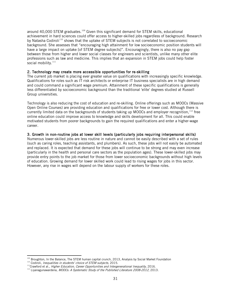around 40,000 STEM graduates.<sup>[109](#page-31-0)</sup> Given this significant demand for STEM skills, educational achievement in hard sciences could offer access to higher-skilled jobs regardless of background. Research by Natasha Codiroli<sup>[110](#page-31-1)</sup> shows that the uptake of STEM subjects is not correlated to socioeconomic background. She assesses that "encouraging high attainment for low socioeconomic position students will have a large impact on uptake [of STEM degree subjects]". Encouragingly, there is also no pay gap between those from higher and lower social classes for engineers and scientists, unlike many other elite professions such as law and medicine. This implies that an expansion in STEM jobs could help foster social mobility.<sup>[111](#page-31-2)</sup>

#### 2. Technology may create more accessible opportunities for re-skilling

The current job market is placing ever greater value on qualifications with increasingly specific knowledge. Qualifications for roles such as IT risk architects or enterprise IT business specialists are in high demand and could command a significant wage premium. Attainment of these specific qualifications is generally less differentiated by socioeconomic background than the traditional 'elite' degrees studied at Russell Group universities.

Technology is also reducing the cost of education and re-skilling. Online offerings such as MOOCs (Massive Open Online Courses) are providing education and qualifications for free or lower cost. Although there is currently limited data on the backgrounds of students taking up MOOCs and employer recognition, [112](#page-31-3) free online education could improve access to knowledge and skills development for all. This could enable motivated students from poorer backgrounds to gain the required qualifications and enter a higher-wage career.

#### 3. Growth in non-routine jobs at lower skill levels (particularly jobs requiring interpersonal skills)

Numerous lower-skilled jobs are less routine in nature and cannot be easily described with a set of rules (such as caring roles, teaching assistants, and plumbers). As such, these jobs will not easily be automated and replaced. It is expected that demand for these jobs will continue to be strong and may even increase (particularly in the health and personal care sectors as the population ages). These lower-skilled jobs may provide entry points to the job market for those from lower socioeconomic backgrounds without high levels of education. Growing demand for lower skilled work could lead to rising wages for jobs in this sector. However, any rise in wages will depend on the labour supply of workers for these roles.

<span id="page-31-0"></span><sup>&</sup>lt;sup>109</sup> Broughton, In the Balance, The STEM human capital crunch, 2013, Analysis by Social Market Foundation <sup>110</sup> Codiroli, *Inequalities in students' choice of STEM subjects*, 2015.

<span id="page-31-2"></span><span id="page-31-1"></span><sup>&</sup>lt;sup>111</sup>Crawford et al., *Higher Education, Career Opportunities and Intergenerational Inequality*, 2016.

<span id="page-31-3"></span><sup>&</sup>lt;sup>112</sup> Liyanagunawardena, *MOOCs: A Systematic Study of the Published Literature 2008-2012*, 2013.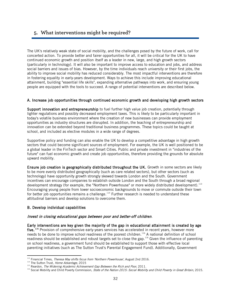# **5. What interventions might be required?**

The UK's relatively weak state of social mobility, and the challenges posed by the future of work, call for concerted action. To provide better and fairer opportunities for all, it will be critical for the UK to have continued economic growth and position itself as a leader in new, large, and high growth sectors (particularly in technology). It will also be important to improve access to education and jobs, and address social barriers and issues of bias. However, by the time individuals reach university or their first jobs, the ability to improve social mobility has reduced considerably. The most impactful interventions are therefore in fostering equality in early-years development. Ways to achieve this include improving educational attainment, building "essential life skills", expanding alternative pathways into work, and ensuring young people are equipped with the tools to succeed. A range of potential interventions are described below.

## A. Increase job opportunities through continued economic growth and developing high growth sectors

Support innovation and entrepreneurship to fuel further high value job creation, potentially through lighter regulations and possibly decreased employment taxes. This is likely to be particularly important in today's volatile business environment where the creation of new businesses can provide employment opportunities as industry structures are disrupted. In addition, the teaching of entrepreneurship and innovation can be extended beyond traditional business programmes. These topics could be taught at school, and included as elective modules in a wide range of degrees.

Supportive policy and funding can also enable the UK to develop a competitive advantage in high growth sectors that could become significant sources of employment. For example, the UK is well positioned to be a global leader in the FinTech sector and Smart Cities. Public and private investment in "industries of the future" can fuel economic growth and create job opportunities, therefore providing the grounds for absolute upward mobility.

Ensure job creation is geographically distributed throughout the UK. Growth in some sectors are likely to be more evenly distributed geographically (such as care related sectors), but other sectors (such as technology) have opportunity growth strongly skewed towards London and the South. Government incentives can encourage companies to establish outside London and the South through a broad regional development strategy (for example, the "Northern Powerhouse" or more widely distributed development). <sup>[113](#page-32-0)</sup> Encouraging young people from lower socioeconomic backgrounds to move or commute outside their town for better job opportunities remains a challenge.<sup>[114](#page-32-1)</sup> Further research is needed to understand these attitudinal barriers and develop solutions to overcome them.

## B. Develop individual capabilities

## Invest in closing educational gaps between poor and better-off children.

Early interventions are key given the majority of the gap in educational attainment is created by age five.<sup>[115](#page-32-2)</sup> Provision of comprehensive early-years services has accelerated in recent years, however more needs to be done to improve school readiness of the poorest children.<sup>[116](#page-32-3)</sup> A national definition of school readiness should be established and robust targets set to close the gap.<sup>116</sup> Given the influence of parenting on school readiness, a government fund should be established to support those with effective local parenting initiatives (such as The Sutton Trust's Parental Engagement Fund). Additionally, Government

 $\overline{a}$ <sup>113</sup> Financial Times, *Theresa May shifts focus from 'Northern Powerhouse'*, August 2nd 2016.

<span id="page-32-1"></span><span id="page-32-0"></span><sup>&</sup>lt;sup>114</sup> The Sutton Trust, Home Advantage, 2015

<sup>&</sup>lt;sup>115</sup> Reardon, The Widening Academic Achievement Gap Between the Rich and Poor, 2011.

<span id="page-32-3"></span><span id="page-32-2"></span><sup>&</sup>lt;sup>116</sup> Social Mobility and Child Poverty Commission, *State of the Nation 2015: Social Mobility and Child Poverty in Great Britain*, 2015.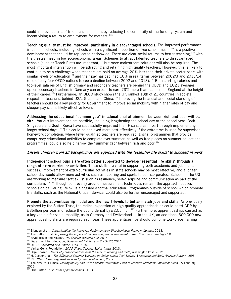could improve uptake of free pre-school hours by reducing the complexity of the funding system and incentivising a return to employment for mothers.  $116$ 

Teaching quality must be improved, particularly in disadvantaged schools. The improved performance in London schools, including schools with a significant proportion of free school meals, <sup>[117](#page-33-0)</sup> is a positive development that should be replicated nationwide. There are clear social returns to better teaching, <sup>[118](#page-33-1)</sup> with the greatest need in low socioeconomic areas. Schemes to attract talented teachers to disadvantaged schools (such as Teach First) are important,<sup>[119](#page-33-2)</sup> but more mainstream solutions will also be required. The most important intervention will be attracting and retaining high quality teachers. However, this is likely to continue to be a challenge when teachers are paid on average 20% less than their private sector peers with similar levels of education<sup>[120](#page-33-3)</sup> and their pay has declined 10% in real terms between 2002/3 and 2013/14 (one of only four OECD nations to see a decline between 2002 and 2013).<sup>[121](#page-33-4)</sup> Both starting salaries and top-level salaries of English primary and secondary teachers are behind the OECD and EU21 averages: upper secondary teachers in Germany can expect to earn 73% more than teachers in England at the height of their career.<sup>121</sup> Furthermore, an OECD study shows the UK ranked 10th of 21 countries in societal respect for teachers, behind USA, Greece and China.<sup>[122](#page-33-5)</sup> Improving the financial and social standing of teachers should be a key priority for Government to improve social mobility with higher rates of pay and steeper pay scales likely effective levers.

Addressing the educational "summer gap" in educational attainment between rich and poor will be vital. Various interventions are possible, including lengthening the school day or the school year. Both Singapore and South Korea have successfully improved their Pisa scores in part through implementing longer school days.<sup>[123](#page-33-6)</sup> This could be achieved more cost-effectively if the extra time is used for supervised homework completion, where fewer qualified teachers are required. Digital programmes that provide compulsory educational activities to complete over summer, as well as free places on summer educational programmes, could also help narrow the "summer gap" between rich and poor.<sup>[124](#page-33-7)</sup>

## Ensure children from all backgrounds are equipped with the "essential life skills" to succeed in work

Independent school pupils are often better supported to develop "essential life skills" through a range of extra-curricular activities. These skills are vital in supporting both academic and job market success. Improvement of extra-curricular activities in state schools may be most effective, and a longer school day would allow more activities such as debating and sports to be incorporated. Schools in the US are working to measure "soft skills" such as resilience, self-discipline and communication as part of the curriculum.<sup>[125](#page-33-8),[126](#page-33-9)</sup> Though controversy around measurement techniques remain, the approach focuses schools on delivering life skills alongside a formal education. Programmes outside of school which promote life skills, such as the National Citizen Service, could also be further encouraged and supported.

<span id="page-33-11"></span>Promote the apprenticeship model and the new T-levels to better match jobs and skills. As previously explored by the Sutton Trust, the radical expansion of high-quality apprenticeships could boost GDP by £8billion per year and reduce the public deficit by £2.5billion.<sup>[127](#page-33-10)</sup> Furthermore, apprenticeships can act as a key vehicle for social mobility, as in Germany and Switzerland.<sup>127</sup> In the UK, an additional 300,000 new apprenticeship starts are required each year. These apprenticeships should combine workplace training

 $\overline{a}$ <sup>117</sup> Blanden et al., *Understanding the Improved Performance of Disadvantaged Pupils in London,* 2013.

<span id="page-33-1"></span><span id="page-33-0"></span><sup>&</sup>lt;sup>118</sup> The Sutton Trust, Improving the impact of teachers on pupil achievement in the UK – interim findings, 2011.

<span id="page-33-2"></span><sup>&</sup>lt;sup>119</sup> Brynjolfsson and Mcafee, The Second Machine Age, 2014.

<span id="page-33-3"></span> $120$  Department for Education, *Government Evidence to the STRB*, 2014.

<span id="page-33-4"></span> $121$  OECD, *Education at a Glance 2015*, 2015.

<span id="page-33-5"></span><sup>&</sup>lt;sup>122</sup> Varkey Gems Foundation, 2013 Global Teacher Status Index, 2013.

<span id="page-33-6"></span><sup>&</sup>lt;sup>123</sup> Olga Khazan, *Here's why other countries beat the U.S. in reading and math*, Washington Post, 2012.

<span id="page-33-7"></span><sup>&</sup>lt;sup>124</sup> H. Cooper et al., The Effects of Summer Vacation on Achievement Test Scores: A Narrative and Meta-Analytic Review, 1996.

<span id="page-33-8"></span> $125$  REL West, Measuring resilience and youth development, 2007.

<span id="page-33-9"></span><sup>&</sup>lt;sup>126</sup> The New York Times, Testing for Joy and Grit? Schools' Nationwide Push to Measure Students' Emotional Skills, 29 February  $2016.$ 

<span id="page-33-10"></span>The Sutton Trust, Real Apprenticeships, 2013.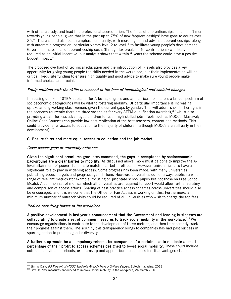with off-site study, and lead to a professional accreditation. The focus of apprenticeships should shift more towards young people, given that in the past up to 75% of new "apprenticeships" have gone to adults over  $25.^{127}$  There should also be an emphasis on quality, with more higher and advance apprenticeships, along with automatic progression, particularly from level 2 to level 3 to facilitate young people's development. Government subsidies of apprenticeship costs (through tax breaks or NI contributions) will likely be required as an initial incentive, but analysis shows that within 5 years the scheme could have a positive budget impact.<sup>127</sup>

The proposed overhaul of technical education and the introduction of T-levels also provides a key opportunity for giving young people the skills needed in the workplace, but their implementation will be critical. Requisite funding to ensure high quality and good advice to make sure young people make informed choices are crucial.

## Equip children with the skills to succeed in the face of technological and societal changes

Increasing uptake of STEM subjects (for A-levels, degrees and apprenticeships) across a broad spectrum of socioeconomic backgrounds will be vital to fostering mobility. Of particular importance is increasing uptake among working class women, given the current gaps by gender. This will address skills shortages in the economy (currently there are three vacancies for every STEM qualification awarded), $127$  whilst also providing a path for less advantaged children to reach high-skilled jobs. Tools such as MOOCs (Massively Online Open Courses) can provide low-cost replication of the best teachers, content and methods. This could provide fairer access to education to the majority of children (although MOOCs are still early in their development). [128](#page-34-0)

#### C. Ensure fairer and more equal access to education and the job market

## Close access gaps at university entrance

Given the significant premiums graduates command, the gaps in acceptance by socioeconomic background are a clear barrier to mobility. As discussed above, more must be done to improve the Alevel attainment of poorer students to match their better-off peers. However, universities also have a significant role to play in widening access. Some progress has been made, with many universities publishing access targets and progress against them. However, universities do not always publish a wide range of relevant metrics (for example, focusing on just state school pupils but not those on Free School Meals). A common set of metrics which all universities are required to report would allow further scrutiny and comparison of access efforts. Sharing of best practice access schemes across universities should also be encouraged, and it is welcome that the Office for Fair Access is working on this. Furthermore, a minimum number of outreach visits could be required of all universities who wish to charge the top fees.

#### Reduce recruiting biases in the workplace

A positive development is last year's announcement that the Government and leading businesses are collaborating to create a set of common measures to track social mobility in the workplace. $^{129}$  $^{129}$  $^{129}$  We encourage organisations to contribute to the development of these metrics, and then transparently track their progress against them. The scrutiny this transparency brings to companies has had past success in spurring action to promote gender diversity.

A further step would be a compulsory scheme for companies of a certain size to dedicate a small percentage of their profit to access schemes designed to boost social mobility. These could include outreach activities in schools, or internship and apprenticeship schemes for disadvantaged students.

 $\overline{a}$ <sup>128</sup> Jimmy Daly, *80 Percent of MOOC Students Already Have a College Degree*, Edtech magazine, 2013.

<span id="page-34-1"></span><span id="page-34-0"></span><sup>&</sup>lt;sup>129</sup> Gov.uk: New measures announced to improve social mobility in the workplace, 24 March 2016.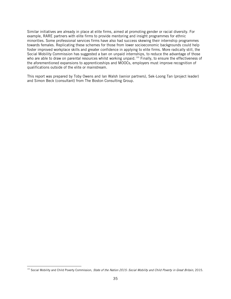Similar initiatives are already in place at elite firms, aimed at promoting gender or racial diversity. For example, RARE partners with elite firms to provide mentoring and insight programmes for ethnic minorities. Some professional services firms have also had success skewing their internship programmes towards females. Replicating these schemes for those from lower socioeconomic backgrounds could help foster improved workplace skills and greater confidence in applying to elite firms. More radically still, the Social Mobility Commission has suggested a ban on unpaid internships, to reduce the advantage of those who are able to draw on parental resources whilst working unpaid.<sup>[130](#page-35-0)</sup> Finally, to ensure the effectiveness of the aforementioned expansions to apprenticeships and MOOCs, employers must improve recognition of qualifications outside of the elite or mainstream.

This report was prepared by Toby Owens and Ian Walsh (senior partners), Sek-Loong Tan (project leader) and Simon Beck (consultant) from The Boston Consulting Group.

<span id="page-35-0"></span> $\overline{a}$ <sup>130</sup> Social Mobility and Child Poverty Commission, *State of the Nation 2015: Social Mobility and Child Poverty in Great Britain*, 2015.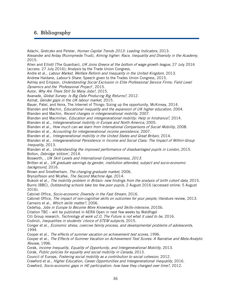# **6. Bibliography**

Adachi, Gretczko and Pelster, Human Capital Trends 2013: Leading Indicators, 2013. Alexander and Arday (Runnymede Trust), Aiming higher: Race, Inequality and Diversity in the Academy, 2015. Allen and Elliott (The Guardian), UK Joins Greece at the bottom of wage growth league, 27 July 2016 (access: 27 July 2016); Analysis by the Trade Union Congress. Andre et al., Labour Market, Welfare Reform and Inequality in the United Kingdom, 2013. Andrew Haldane, Labour's Share. Speech given to the Trades Union Congress, 2015. Ashley and Empson, Understanding Social Exclusion in Elite Professional Service Firms: Field Level Dynamics and the 'Professional Project', 2015. Autor, Why Are There Still So Many Jobs?, 2015. Avanade, Global Survey: Is Big Data Producing Big Returns?, 2012. Azmat, Gender gaps in the UK labour market, 2015. Bauer, Patel, and Veira, The Internet of Things: Sizing up the opportunity, McKinsey, 2014. Blanden and Machin, *Educational inequality and the expansion of UK higher education*, 2004. Blanden and Machin, Recent changes in intergenerational mobility, 2007. Blanden and Macmillan, *Education and intergenerational mobility: Help or hindrance?*, 2014. Blanden et al., Intergenerational mobility in Europe and North America, 2005. Blanden et al., How much can we learn from International Comparisons of Social Mobility, 2008. Blanden et al., Accounting for intergenerational income persistence, 2007. Blanden et al., Intergenerational mobility in the United States and Great Britain, 2014. Blanden et al., Intergenerational Persistence in Income and Social Class: The Impact of Within-Group Inequality, 2013. Blanden et al., Understanding the improved performance of disadvantaged pupils in London, 2015. Bolton, Oxbridge 'elitism', 2014. Bosworth, , UK Skill Levels and International Competitiveness, 2013. Britten et al., UK graduate earnings by gender, institution attended, subject and socio-economic background, 2016. Brown and Smetherham, The changing graduate market, 2006. Brynjolfsson and Mcafee, The Second Machine Age, 2014. Bukodi et al., The mobility problem in Britain: new findings from the analysis of birth cohort data, 2015. Burns (BBC), Outstanding schools take too few poor pupils, 2 August 2016 (accessed online: 5 August 2016). Cabinet Office, Socio-economic Diversity in the Fast Stream, 2016. Cabinet Office, The impact of non-cognitive skills on outcomes for your people, literature review, 2013. Carneiro et al., Which skills matter?, 2006. Cedefop, Jobs in Europe to Become More Knowledge- and Skills-intensive, 2010b. Citation TBC – will be published in AERA Open in next few weeks by Waldfogel Citi Group research, Technology at work v2.0, The Future is not what it used to be, 2016. Codiroli, Inequalities in students' choice of STEM subjects, 2015. Conger et al., Economic stress, coercive family process, and developmental problems of adolescents, 1994. Cooper et al., The effects of summer vacation on achievement test scores, 1996. Cooper et al., The Effects of Summer Vacation on Achievement Test Scores: A Narrative and Meta-Analytic Review, 1996. Corak, Income Inequality, Equality of Opportunity, and Intergenerational Mobility, 2013. Corak, Public policies for equality and social mobility in Canada, 2013. Council of Europe, *Fostering social mobility as a contribution to social cohesion*, 2012. Crawford et al., *Higher Education, Career Opportunities and Intergenerational Inequality*, 2016. Crawford, Socio-economic gaps in HE participation: how have they changed over time?, 2012.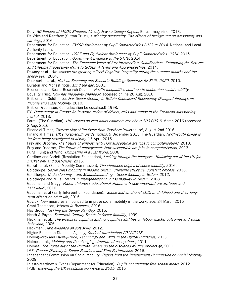Daly, 80 Percent of MOOC Students Already Have a College Degree, Edtech magazine, 2013.

De Vries and Rentfrow (Sutton Trust), A winning personality: The effects of background on personality and earnings, 2016.

Department for Education, EYFSP Attainment by Pupil Characteristics 2013 to 2014, National and Local Authority tables

Department for Education, GCSE and Equivalent Attainment by Pupil Characteristics: 2014, 2015. Department for Education, Government Evidence to the STRB, 2014.

Department for Education, The Economic Value of Key Intermediate Qualifications: Estimating the Returns and Lifetime Productivity Gains to GCSEs, A levels and Apprenticeships, 2014.

Downey et al., Are schools the great equalizer? Cognitive inequality during the summer months and the school year, 2004.

Duckworth. et al., Horizon Scanning and Scenario Building: Scenarios for Skills 2020, 2010. Duraton and Monastiriotis, Mind the gap, 2001.

Economic and Social Research Council, *Health inequalities continue to undermine social mobility* Equality Trust, How has inequality changed?, accessed online 26 Aug. 2016

Erikson and Goldthorpe, Has Social Mobility in Britain Decreased? Reconciling Divergent Findings on Income and Class Mobility, 2010.

Erikson & Jonsson, Can education be equalised? 1998.

EY, Outsourcing in Europe An in-depth review of drivers, risks and trends in the European outsourcing market, 2013.

Farrell (The Guardian), UK workers on zero-hours contracts rise above 800,000, 9 March 2016 (accessed: 2 Aug. 2016).

Financial Times, Theresa May shifts focus from 'Northern Powerhouse', August 2nd 2016.

Financial Times, UK's north-south divide widens, 9 December 2015; The Guardian, North-south divide is far from being redesigned to history, 15 April 2015.

Frey and Osborne, The Future of employment: How susceptible are jobs to computerisation?, 2013.

Frey and Osborne, The Future of employment: How susceptible are jobs to computerisation, 2013. Fung, Fung and Wind, Competing in a Flat World, 2008.

Gardiner and Corlett (Resolution Foundation), Looking through the hourglass: Hollowing out of the UK job market pre- and post-crisis, 2015.

Garratt et al. (Social Mobility Commission), The childhood origins of social mobility, 2016.

Goldthorpe, Social class mobility in modern Britain: changing structure, constant process, 2016.

Goldthorpe, Understanding – and Misunderstanding – Social Mobility in Britain, 2012.

Goldthrope and Mills, *Trends in intergenerational class mobility in Britain*, 2008.

Goodman and Gregg, Poorer children's educational attainment: how important are attitudes and behaviour?, 2010.

Goodman et al (Early Intervention Foundation)., Social and emotional skills in childhood and their longterm effects on adult life, 2015.

Gov.uk: New measures announced to improve social mobility in the workplace, 24 March 2016 Grant Thompson, Women in Business, 2016.

Hay Group, Tackling the Gender Pay Gap, 2015.

Heath & Payne, Twentieth Century Trends in Social Mobility, 1999.

Heckman et al., The effects of cognitive and noncognitive abilities on labour market outcomes and social behaviour, 2006.

Heckman, Hard evidence on soft skills, 2012.

Higher Education Statistics Agency, Student Introduction 2012/2013.

Hollingworth and Harvey-Price, Technology and Skills in the Digital Industries, 2013.

Holmes et al., Mobility and the changing structure of occupations, 2011.

Holmes, The Route out of the Routine: Where do the displaced routine workers go, 2011.

IMF, Gender Diversity in Senior Positions and Firm Performance, 2016.

Independent Commission on Social Mobility, Report from the Independent Commission on Social Mobility, 2009

Iniesta-Martinez & Evans (Department for Education), Pupils not claiming free school meals, 2012 IPSE, Exploring the UK Freelance workforce in 2015, 2016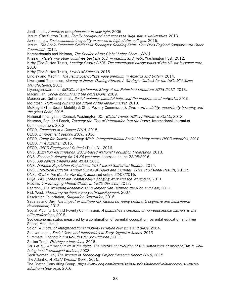Jantti et al., American exceptionalism in new light, 2006.

Jerrim (The Sutton Trust), Family background and access to 'high status' universities, 2013.

Jerrim et al., Socioeconomic inequality in access to high-status colleges, 2015.

Jerrim, The Socio-Economic Gradient in Teenagers' Reading Skills: How Does England Compare with Other Countries?, 2012.

Karabarbounis and Neiman, The Decline of the Global Labor Share , 2013

Khazan, Here's why other countries beat the U.S. in reading and math, Washington Post, 2012.

Kirby (The Sutton Trust), Leading People 2016: The educational backgrounds of the UK professional elite, 2016.

Kirby (The Sutton Trust), Levels of Success, 2015

Lindley and Machin, The rising post-college wage premium in America and Britain, 2014.

Livesayand Thompson, Making at Home, Owning Abroad. A Strategic Outlook for the UK's Mid-Sized Manufacturers, 2013

Liyanagunawardena, MOOCs: A Systematic Study of the Published Literature 2008-2012, 2013. Macmillian, Social mobility and the professions, 2009.

Macrcenaro-Gutierrez et al., Social mobility, parental help, and the importance of networks, 2015. McIntosh, Hollowing out and the future of the labour market, 2013.

McKnight (The Social Mobility & Child Poverty Commission), *Downward mobility, opportunity hoarding and* the 'glass floor', 2015.

National Intelligence Council, Washington DC., Global Trends 2030: Alternative Worlds, 2012. Neuman, Park and Panek, *Tracking the Flow of Information into the Home*, International Journal of Communication, 2012

OECD, Education at a Glance 2015, 2015.

OECD, Employment outlook 2016, 2016.

OECD, Going for Growth; A Family Affair- Intergenerational Social Mobility across OECD countries, 2010 OECD, In it together, 2015.

OECD, OECD Employment Outlook (Table N), 2016.

ONS, Migration Assumptions, 2012-Based National Population Projections, 2013.

ONS, Economic Activity for 16-64 year olds, accessed online 22/08/2016.

ONS, Job census England and Wales, 2011.

ONS, National Population Projections: 2014-based Statistical Bulletin, 2015.

ONS, Statistical Bulletin: Annual Survey of Hours and Earnings, 2012 Provisional Results, 2012c.

ONS, What is the Gender Pay Gap?, accessed online 22/08/2016.

Ouye, Five Trends that Are Dramatically Changing Work and the Workplace, 2011.

Pezzini, 'An Emerging Middle-Class', in OECD Observer, 2012.

Reardon, The Widening Academic Achievement Gap Between the Rich and Poor, 2011.

REL West, Measuring resilience and youth development, 2007.

Resolution Foundation, Stagnation Generation, 2016.

Sabates and Dex, The impact of multiple risk factors on young children's cognitive and behavioural development, 2013.

Social Mobility & Child Poverty Commission, A qualitative evaluation of non-educational barriers to the elite professions, 2015.

Socioeconomic status measured by a combination of parental occupation, parental education and Free School Meal status

Solon, A model of intergenerational mobility variation over time and place, 2004.

Sullivan et al., Social Class and Inequalities in Early Cognitive Scores, 2013

Summers, Economic Possibilities for our Children ,2013.,

Sutton Trust, Oxbridge admissions, 2016.

Taris et al., All day and all of the night: The relative contribution of two dimensions of workaholism to wellbeing in self-employed workers, 2008.

Tech Women UK, The Women in Technology Project Research Report 2015, 2015.

The Atlantic, A World Without Work, 2015.

The Boston Consulting Group, [https://www.bcg.com/expertise/industries/automotive/autonomous-vehicle](https://www.bcg.com/expertise/industries/automotive/autonomous-vehicle-adoption-study.aspx)[adoption-study.aspx](https://www.bcg.com/expertise/industries/automotive/autonomous-vehicle-adoption-study.aspx), 2016.